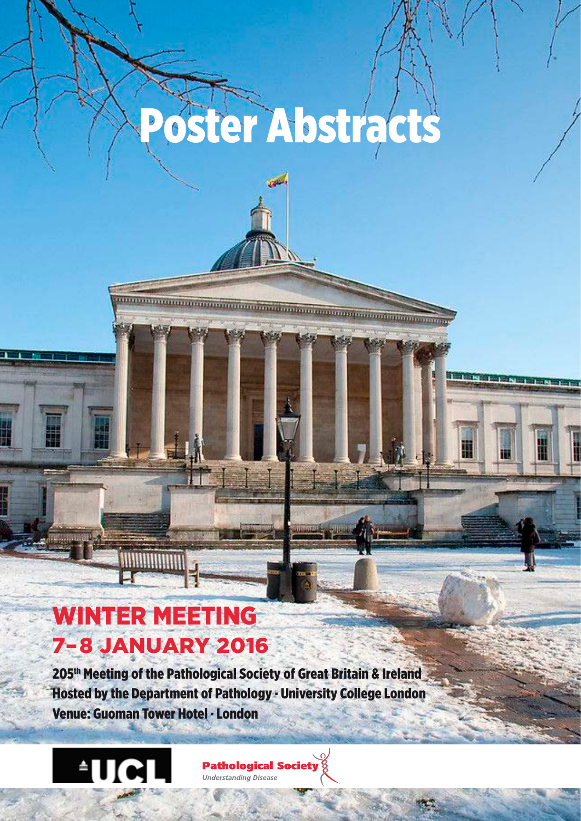# Oster Abstracts

1990 - Personal Propinsi Amerikaan Suite Land (h. 1900).<br>1905 - Paul Leo Barriotte, Amerikaansk politik fan de Amerikaansk politik fan de Amerikaansk politik fan de A

 $1 + N$ 

H

H

# WINTER MEETING 7– 8 JanUARY 2016

205<sup>th</sup> Meeting of the Pathological Society of Great Britain & Ireland Hosted by the Department of Pathology · University College London Venue: Guoman Tower Hotel · London



**Pathological Society Understanding Disease**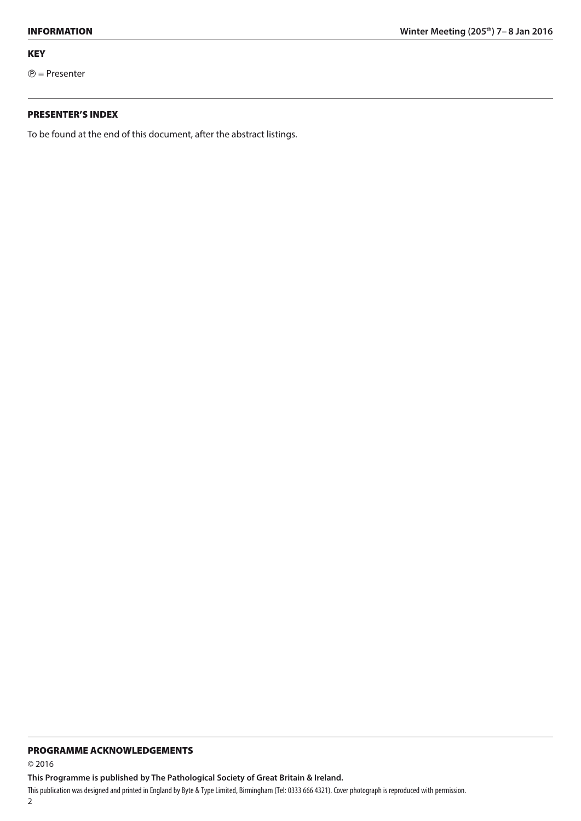# KEY

 $\circledR$  = Presenter

# Presenter's Index

To be found at the end of this document, after the abstract listings.

# Programme acknowledgements

© 2016

**This Programme is published by The Pathological Society of Great Britain & Ireland.**

This publication was designed and printed in England by Byte & Type Limited, Birmingham (Tel: 0333 666 4321). Cover photograph is reproduced with permission.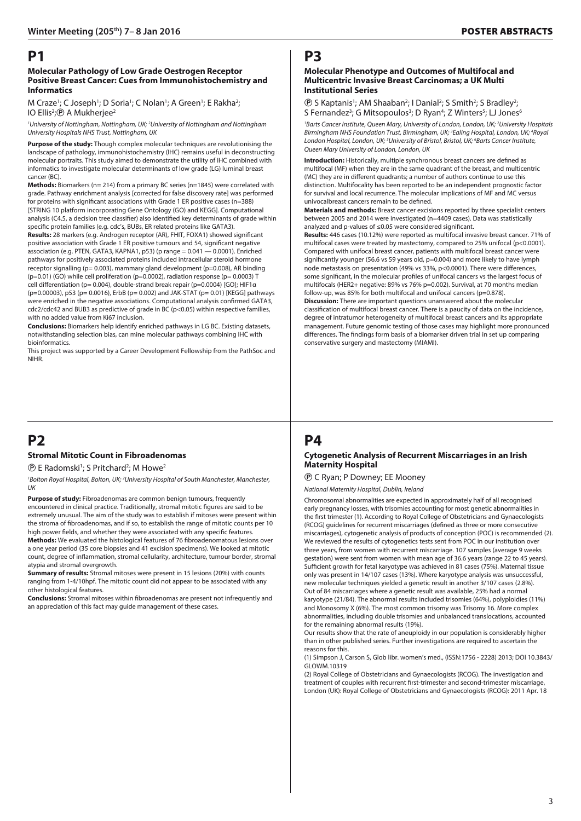### **Molecular Pathology of Low Grade Oestrogen Receptor Positive Breast Cancer: Cues from Immunohistochemistry and Informatics**

M Craze<sup>1</sup>; C Joseph<sup>1</sup>; D Soria<sup>1</sup>; C Nolan<sup>1</sup>; A Green<sup>1</sup>; E Rakha<sup>2</sup>; 10 Ellis<sup>2</sup>;<sup>®</sup> A Mukherjee<sup>2</sup>

<sup>1</sup>University of Nottingham, Nottingham, UK; <sup>2</sup>University of Nottingham and Nottingham *University Hospitals NHS Trust, Nottingham, UK*

**Purpose of the study:** Though complex molecular techniques are revolutionising the landscape of pathology, immunohistochemistry (IHC) remains useful in deconstructing molecular portraits. This study aimed to demonstrate the utility of IHC combined with informatics to investigate molecular determinants of low grade (LG) luminal breast cancer (BC).

**Methods:** Biomarkers (n= 214) from a primary BC series (n=1845) were correlated with grade. Pathway enrichment analysis [corrected for false discovery rate] was performed for proteins with significant associations with Grade 1 ER positive cases (n=388) [STRING 10 platform incorporating Gene Ontology (GO) and KEGG]. Computational analysis (C4.5, a decision tree classifier) also identified key determinants of grade within specific protein families (e.g. cdc's, BUBs, ER related proteins like GATA3).

**Results:** 28 markers (e.g. Androgen receptor (AR), FHIT, FOXA1) showed significant positive association with Grade 1 ER positive tumours and 54, significant negative association (e.g. PTEN, GATA3, KAPNA1, p53) (p range =  $0.041 - 0.0001$ ). Enriched pathways for positively associated proteins included intracellular steroid hormone receptor signalling (p= 0.003), mammary gland development (p=0.008), AR binding (p=0.01) (GO) while cell proliferation (p=0.0002), radiation response (p= 0.0003) T cell differentiation (p= 0.004), double-strand break repair (p=0.0004) [GO]; HIF1α (p=0.00003), p53 (p= 0.0016), ErbB (p= 0.002) and JAK-STAT (p= 0.01) [KEGG] pathways were enriched in the negative associations. Computational analysis confirmed GATA3, cdc2/cdc42 and BUB3 as predictive of grade in BC (p<0.05) within respective families, with no added value from Ki67 inclusion.

**Conclusions:** Biomarkers help identify enriched pathways in LG BC. Existing datasets, notwithstanding selection bias, can mine molecular pathways combining IHC with bioinformatics.

This project was supported by a Career Development Fellowship from the PathSoc and NIHR.

# **P3**

### **Molecular Phenotype and Outcomes of Multifocal and Multicentric Invasive Breast Carcinomas; a UK Multi Institutional Series**

**(B)** S Kaptanis<sup>1</sup>; AM Shaaban<sup>2</sup>; I Danial<sup>2</sup>; S Smith<sup>2</sup>; S Bradley<sup>2</sup>; S Fernandez<sup>3</sup>; G Mitsopoulos<sup>3</sup>; D Ryan<sup>4</sup>; Z Winters<sup>5</sup>; LJ Jones<sup>6</sup>

<sup>1</sup> Barts Cancer Institute, Queen Mary, University of London, London, UK; <sup>2</sup> University Hospitals *Birmingham NHS Foundation Trust, Birmingham, UK; 3 Ealing Hospital, London, UK; 4 Royal*  London Hospital, London, UK;<sup>5</sup>University of Bristol, Bristol, UK;<sup>6</sup>Barts Cancer Institute, *Queen Mary University of London, London, UK*

**Introduction:** Historically, multiple synchronous breast cancers are defined as multifocal (MF) when they are in the same quadrant of the breast, and multicentric (MC) they are in different quadrants; a number of authors continue to use this distinction. Multifocality has been reported to be an independent prognostic factor for survival and local recurrence. The molecular implications of MF and MC versus univocalbreast cancers remain to be defined.

**Materials and methods:** Breast cancer excisions reported by three specialist centers between 2005 and 2014 were investigated (n=4409 cases). Data was statistically analyzed and p-values of ≤0.05 were considered significant.

**Results:** 446 cases (10.12%) were reported as multifocal invasive breast cancer. 71% of multifocal cases were treated by mastectomy, compared to 25% unifocal (p<0.0001). Compared with unifocal breast cancer, patients with multifocal breast cancer were significantly younger (56.6 vs 59 years old, p=0.004) and more likely to have lymph node metastasis on presentation (49% vs 33%, p<0.0001). There were differences, some significant, in the molecular profiles of unifocal cancers vs the largest focus of multifocals (HER2+ negative: 89% vs 76% p=0.002). Survival, at 70 months median follow-up, was 85% for both multifocal and unifocal cancers (p=0.878).

**Discussion:** There are important questions unanswered about the molecular classification of multifocal breast cancer. There is a paucity of data on the incidence, degree of intratumor heterogeneity of multifocal breast cancers and its appropriate management. Future genomic testing of those cases may highlight more pronounced differences. The findings form basis of a biomarker driven trial in set up comparing conservative surgery and mastectomy (MIAMI).

# **P2**

# **Stromal Mitotic Count in Fibroadenomas**

*<b>P* E Radomski<sup>1</sup>; S Pritchard<sup>2</sup>; M Howe<sup>2</sup>

<sup>1</sup> Bolton Royal Hospital, Bolton, UK; <sup>2</sup> University Hospital of South Manchester, Manchester, *UK*

**Purpose of study:** Fibroadenomas are common benign tumours, frequently encountered in clinical practice. Traditionally, stromal mitotic figures are said to be extremely unusual. The aim of the study was to establish if mitoses were present within the stroma of fibroadenomas, and if so, to establish the range of mitotic counts per 10 high power fields, and whether they were associated with any specific features. **Methods:** We evaluated the histological features of 76 fibroadenomatous lesions over a one year period (35 core biopsies and 41 excision specimens). We looked at mitotic count, degree of inflammation, stromal cellularity, architecture, tumour border, stromal atypia and stromal overgrowth.

**Summary of results:** Stromal mitoses were present in 15 lesions (20%) with counts ranging from 1-4/10hpf. The mitotic count did not appear to be associated with any other histological features.

**Conclusions:** Stromal mitoses within fibroadenomas are present not infrequently and an appreciation of this fact may guide management of these cases.

# **P4**

### **Cytogenetic Analysis of Recurrent Miscarriages in an Irish Maternity Hospital**

P C Ryan; P Downey; EE Mooney

*National Maternity Hospital, Dublin, Ireland*

Chromosomal abnormalities are expected in approximately half of all recognised early pregnancy losses, with trisomies accounting for most genetic abnormalities in the first trimester (1). According to Royal College of Obstetricians and Gynaecologists (RCOG) guidelines for recurrent miscarriages (defined as three or more consecutive miscarriages), cytogenetic analysis of products of conception (POC) is recommended (2). We reviewed the results of cytogenetics tests sent from POC in our institution over three years, from women with recurrent miscarriage. 107 samples (average 9 weeks gestation) were sent from women with mean age of 36.6 years (range 22 to 45 years). Sufficient growth for fetal karyotype was achieved in 81 cases (75%). Maternal tissue only was present in 14/107 cases (13%). Where karyotype analysis was unsuccessful, new molecular techniques yielded a genetic result in another 3/107 cases (2.8%). Out of 84 miscarriages where a genetic result was available, 25% had a normal karyotype (21/84). The abnormal results included trisomies (64%), polyploidies (11%) and Monosomy X (6%). The most common trisomy was Trisomy 16. More complex abnormalities, including double trisomies and unbalanced translocations, accounted for the remaining abnormal results (19%).

Our results show that the rate of aneuploidy in our population is considerably higher than in other published series. Further investigations are required to ascertain the reasons for this.

(1) Simpson J, Carson S, Glob libr. women's med., (ISSN:1756 - 2228) 2013; DOI 10.3843/ GLOWM.10319

(2) Royal College of Obstetricians and Gynaecologists (RCOG). The investigation and treatment of couples with recurrent first-trimester and second-trimester miscarriage, London (UK): Royal College of Obstetricians and Gynaecologists (RCOG): 2011 Apr. 18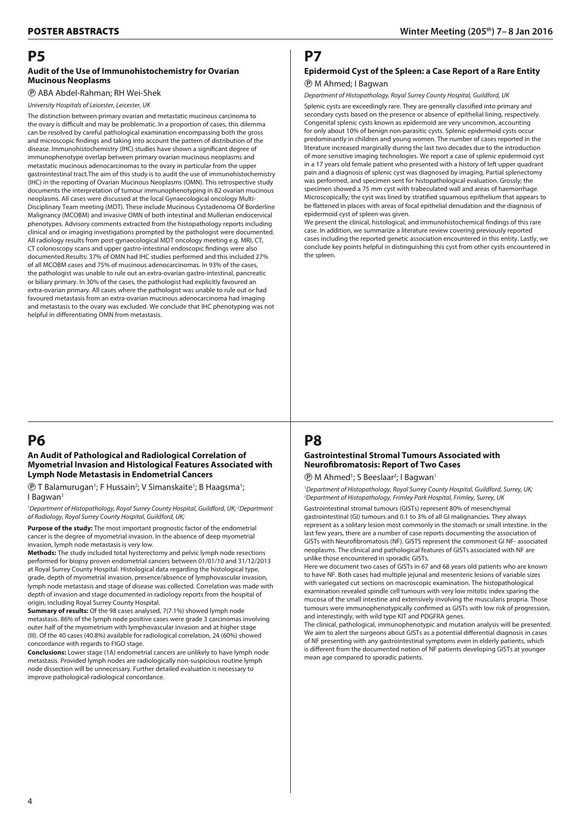### **Audit of the Use of Immunohistochemistry for Ovarian Mucinous Neoplasms**

### P ABA Abdel-Rahman; RH Wei-Shek

*University Hospitals of Leicester, Leicester, UK*

The distinction between primary ovarian and metastatic mucinous carcinoma to the ovary is difficult and may be problematic. In a proportion of cases, this dilemma can be resolved by careful pathological examination encompassing both the gross and microscopic findings and taking into account the pattern of distribution of the disease. Immunohistochemistry (IHC) studies have shown a significant degree of immunophenotype overlap between primary ovarian mucinous neoplasms and metastatic mucinous adenocarcinomas to the ovary in particular from the upper gastrointestinal tract.The aim of this study is to audit the use of immunohistochemistry (IHC) in the reporting of Ovarian Mucinous Neoplasms (OMN). This retrospective study documents the interpretation of tumour immunophenotyping in 82 ovarian mucinous neoplasms. All cases were discussed at the local Gynaecological oncology Multi-Disciplinary Team meeting (MDT). These include Mucinous Cystadenoma Of Borderline Malignancy (MCOBM) and invasive OMN of both intestinal and Mullerian endocervical phenotypes. Advisory comments extracted from the histopathology reports including clinical and or imaging investigations prompted by the pathologist were documented. All radiology results from post-gynaecological MDT oncology meeting e.g. MRI, CT, CT colonoscopy scans and upper gastro-intestinal endoscopic findings were also documented.Results: 37% of OMN had IHC studies performed and this included 27% of all MCOBM cases and 75% of mucinous adenocarcinomas. In 93% of the cases, the pathologist was unable to rule out an extra-ovarian gastro-intestinal, pancreatic or biliary primary. In 30% of the cases, the pathologist had explicitly favoured an extra-ovarian primary. All cases where the pathologist was unable to rule out or had favoured metastasis from an extra-ovarian mucinous adenocarcinoma had imaging and metastasis to the ovary was excluded. We conclude that IHC phenotyping was not helpful in differentiating OMN from metastasis.

# **P7**

# **Epidermoid Cyst of the Spleen: a Case Report of a Rare Entity** P M Ahmed; I Bagwan

### *Department of Histopathology, Royal Surrey County Hospital, Guildford, UK*

Splenic cysts are exceedingly rare. They are generally classified into primary and secondary cysts based on the presence or absence of epithelial lining, respectively. Congenital splenic cysts known as epidermoid are very uncommon, accounting for only about 10% of benign non-parasitic cysts. Splenic epidermoid cysts occur predominantly in children and young women. The number of cases reported in the literature increased marginally during the last two decades due to the introduction of more sensitive imaging technologies. We report a case of splenic epidermoid cyst in a 17 years old female patient who presented with a history of left upper quadrant pain and a diagnosis of splenic cyst was diagnosed by imaging, Partial splenectomy was performed, and specimen sent for histopathological evaluation. Grossly; the specimen showed a 75 mm cyst with trabeculated wall and areas of haemorrhage. Microscopically; the cyst was lined by stratified squamous epithelium that appears to be flattened in places with areas of focal epithelial denudation and the diagnosis of epidermoid cyst of spleen was given.

We present the clinical, histological, and immunohistochemical findings of this rare case. In addition, we summarize a literature review covering previously reported cases including the reported genetic association encountered in this entity. Lastly, we conclude key points helpful in distinguishing this cyst from other cysts encountered in the spleen.

# **P6**

### **An Audit of Pathological and Radiological Correlation of Myometrial Invasion and Histological Features Associated with Lymph Node Metastasis in Endometrial Cancers**

*<b>@ T Balamurugan<sup>1</sup>; F Hussain<sup>2</sup>; V Simanskaite<sup>1</sup>; B Haagsma<sup>1</sup>;* I Bagwan<sup>1</sup>

<sup>1</sup>Department of Histopathology, Royal Surrey County Hospital, Guildford, UK; <sup>2</sup>Department *of Radiology, Royal Surrey County Hospital, Guildford, UK;*

**Purpose of the study:** The most important prognostic factor of the endometrial cancer is the degree of myometrial invasion. In the absence of deep myometrial invasion, lymph node metastasis is very low.

**Methods:** The study included total hysterectomy and pelvic lymph node resections performed for biopsy proven endometrial cancers between 01/01/10 and 31/12/2013 at Royal Surrey County Hospital. Histological data regarding the histological type, grade, depth of myometrial invasion, presence/absence of lymphovascular invasion, lymph node metastasis and stage of disease was collected. Correlation was made with depth of invasion and stage documented in radiology reports from the hospital of origin, including Royal Surrey County Hospital.

**Summary of results:** Of the 98 cases analysed, 7(7.1%) showed lymph node metastasis. 86% of the lymph node positive cases were grade 3 carcinomas involving outer half of the myometrium with lymphovascular invasion and at higher stage (III). Of the 40 cases (40.8%) available for radiological correlation, 24 (60%) showed concordance with regards to FIGO stage.

**Conclusions:** Lower stage (1A) endometrial cancers are unlikely to have lymph node metastasis. Provided lymph nodes are radiologically non-suspicious routine lymph node dissection will be unnecessary. Further detailed evaluation is necessary to improve pathological-radiological concordance.

# **P8**

# **Gastrointestinal Stromal Tumours Associated with Neurofibromatosis: Report of Two Cases**

**(B)** M Ahmed<sup>1</sup>; S Beeslaar<sup>2</sup>; I Bagwan<sup>1</sup>

<sup>1</sup> Department of Histopathology, Royal Surrey County Hospital, Guildford, Surrey, UK; *2 Department of Histopathology, Frimley Park Hospital, Frimley, Surrey, UK*

Gastrointestinal stromal tumours (GISTs) represent 80% of mesenchymal gastrointestinal (GI) tumours and 0.1 to 3% of all GI malignancies. They always represent as a solitary lesion most commonly in the stomach or small intestine. In the last few years, there are a number of case reports documenting the association of GISTs with Neurofibromatosis (NF). GISTS represent the commonest GI NF- associated neoplasms. The clinical and pathological features of GISTs associated with NF are unlike those encountered in sporadic GISTs.

Here we document two cases of GISTs in 67 and 68 years old patients who are known to have NF. Both cases had multiple jejunal and mesenteric lesions of variable sizes with variegated cut sections on macroscopic examination. The histopathological examination revealed spindle cell tumours with very low mitotic index sparing the mucosa of the small intestine and extensively involving the muscularis propria. Those tumours were immunophenotypically confirmed as GISTs with low risk of progression, and interestingly, with wild type KIT and PDGFRA genes.

The clinical, pathological, immunophenotypic and mutation analysis will be presented. We aim to alert the surgeons about GISTs as a potential differential diagnosis in cases of NF presenting with any gastrointestinal symptoms even in elderly patients, which is different from the documented notion of NF patients developing GISTs at younger mean age compared to sporadic patients.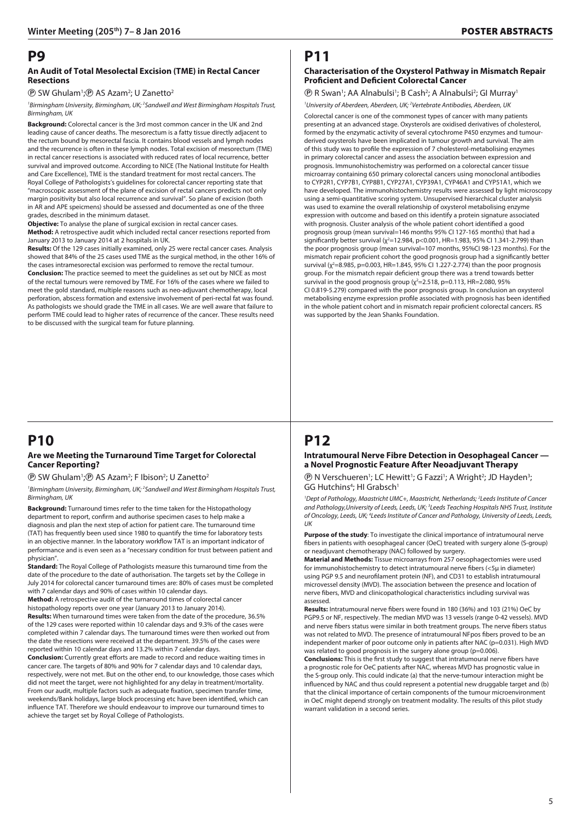### **An Audit of Total Mesolectal Excision (TME) in Rectal Cancer Resections**

### **D SW Ghulam<sup>1</sup>; D AS Azam<sup>2</sup>; U Zanetto<sup>2</sup>**

<sup>1</sup> Birmingham University, Birmingham, UK; <sup>2</sup> Sandwell and West Birmingham Hospitals Trust, *Birmingham, UK*

**Background:** Colorectal cancer is the 3rd most common cancer in the UK and 2nd leading cause of cancer deaths. The mesorectum is a fatty tissue directly adjacent to the rectum bound by mesorectal fascia. It contains blood vessels and lymph nodes and the recurrence is often in these lymph nodes. Total excision of mesorectum (TME) in rectal cancer resections is associated with reduced rates of local recurrence, better survival and improved outcome. According to NICE (The National Institute for Health and Care Excellence), TME is the standard treatment for most rectal cancers. The Royal College of Pathologists's guidelines for colorectal cancer reporting state that "macroscopic assessment of the plane of excision of rectal cancers predicts not only margin positivity but also local recurrence and survival". So plane of excision (both in AR and APE speicmens) should be assessed and documented as one of the three grades, described in the minimum dataset.

**Objective:** To analyse the plane of surgical excision in rectal cancer cases. **Method:** A retrospective audit which included rectal cancer resections reported from January 2013 to January 2014 at 2 hospitals in UK.

**Results:** Of the 129 cases initially examined, only 25 were rectal cancer cases. Analysis showed that 84% of the 25 cases used TME as the surgical method, in the other 16% of the cases intramesorectal excision was performed to remove the rectal tumour. **Conclusion:** The practice seemed to meet the guidelines as set out by NICE as most of the rectal tumours were removed by TME. For 16% of the cases where we failed to meet the gold standard, multiple reasons such as neo-adjuvant chemotherapy, local perforation, abscess formation and extensive involvement of peri-rectal fat was found.

As pathologists we should grade the TME in all cases. We are well aware that failure to perform TME could lead to higher rates of recurrence of the cancer. These results need to be discussed with the surgical team for future planning.

# **P11**

# **Characterisation of the Oxysterol Pathway in Mismatch Repair Proficient and Deficient Colorectal Cancer**

**(B)** R Swan<sup>1</sup>; AA Alnabulsi<sup>1</sup>; B Cash<sup>2</sup>; A Alnabulsi<sup>2</sup>; GI Murray<sup>1</sup> <sup>1</sup> University of Aberdeen, Aberdeen, UK; <sup>2</sup> Vertebrate Antibodies, Aberdeen, UK

Colorectal cancer is one of the commonest types of cancer with many patients presenting at an advanced stage. Oxysterols are oxidised derivatives of cholesterol, formed by the enzymatic activity of several cytochrome P450 enzymes and tumourderived oxysterols have been implicated in tumour growth and survival. The aim of this study was to profile the expression of 7 cholesterol-metabolising enzymes in primary colorectal cancer and assess the association between expression and prognosis. Immunohistochemistry was performed on a colorectal cancer tissue microarray containing 650 primary colorectal cancers using monoclonal antibodies to CYP2R1, CYP7B1, CYP8B1, CYP27A1, CYP39A1, CYP46A1 and CYP51A1, which we have developed. The immunohistochemistry results were assessed by light microscopy using a semi-quantitative scoring system. Unsupervised hierarchical cluster analysis was used to examine the overall relationship of oxysterol metabolising enzyme expression with outcome and based on this identify a protein signature associated with prognosis. Cluster analysis of the whole patient cohort identified a good prognosis group (mean survival=146 months 95% CI 127-165 months) that had a significantly better survival ( $\chi^2$ =12.984, p<0.001, HR=1.983, 95% Cl 1.341-2.799) than the poor prognosis group (mean survival=107 months, 95%CI 98-123 months). For the mismatch repair proficient cohort the good prognosis group had a significantly better survival (χ<sup>2</sup>=8.985, p=0.003, HR=1.845, 95% CI 1.227-2.774) than the poor prognosis group. For the mismatch repair deficient group there was a trend towards better survival in the good prognosis group ( $\chi^2$ =2.518, p=0.113, HR=2.080, 95% CI 0.819-5.279) compared with the poor prognosis group. In conclusion an oxysterol metabolising enzyme expression profile associated with prognosis has been identified in the whole patient cohort and in mismatch repair proficient colorectal cancers. RS was supported by the Jean Shanks Foundation.

# **P10**

### **Are we Meeting the Turnaround Time Target for Colorectal Cancer Reporting?**

**D SW Ghulam<sup>1</sup>; D AS Azam<sup>2</sup>; F Ibison<sup>2</sup>; U Zanetto<sup>2</sup>** 

<sup>1</sup> Birmingham University, Birmingham, UK; <sup>2</sup> Sandwell and West Birmingham Hospitals Trust, *Birmingham, UK*

**Background:** Turnaround times refer to the time taken for the Histopathology department to report, confirm and authorise specimen cases to help make a diagnosis and plan the next step of action for patient care. The turnaround time (TAT) has frequently been used since 1980 to quantify the time for laboratory tests in an objective manner. In the laboratory workflow TAT is an important indicator of performance and is even seen as a "necessary condition for trust between patient and physician".

**Standard:** The Royal College of Pathologists measure this turnaround time from the date of the procedure to the date of authorisation. The targets set by the College in July 2014 for colorectal cancer turnaround times are: 80% of cases must be completed with 7 calendar days and 90% of cases within 10 calendar days.

**Method:** A retrospective audit of the turnaround times of colorectal cancer histopathology reports over one year (January 2013 to January 2014). **Results:** When turnaround times were taken from the date of the procedure, 36.5% of the 129 cases were reported within 10 calendar days and 9.3% of the cases were completed within 7 calendar days. The turnaround times were then worked out from the date the resections were received at the department. 39.5% of the cases were reported within 10 calendar days and 13.2% within 7 calendar days.

**Conclusion:** Currently great efforts are made to record and reduce waiting times in cancer care. The targets of 80% and 90% for 7 calendar days and 10 calendar days, respectively, were not met. But on the other end, to our knowledge, those cases which did not meet the target, were not highlighted for any delay in treatment/mortality. From our audit, multiple factors such as adequate fixation, specimen transfer time, weekends/Bank holidays, large block processing etc have been identified, which can influence TAT. Therefore we should endeavour to improve our turnaround times to achieve the target set by Royal College of Pathologists.

# **P12**

**Intratumoural Nerve Fibre Detection in Oesophageal Cancer a Novel Prognostic Feature After Neoadjuvant Therapy**

**(B)** N Verschueren<sup>1</sup>; LC Hewitt<sup>1</sup>; G Fazzi<sup>1</sup>; A Wright<sup>2</sup>; JD Hayden<sup>3</sup>; GG Hutchins<sup>4</sup>; HI Grabsch<sup>1</sup>

*1 Dept of Pathology, Maastricht UMC+, Maastricht, Netherlands; 2 Leeds Institute of Cancer and Pathology,University of Leeds, Leeds, UK; 3 Leeds Teaching Hospitals NHS Trust, Institute*  of Oncology, Leeds, UK; <sup>4</sup> Leeds Institute of Cancer and Pathology, University of Leeds, Leeds, *UK*

**Purpose of the study**: To investigate the clinical importance of intratumoural nerve fibers in patients with oesophageal cancer (OeC) treated with surgery alone (S-group) or neadjuvant chemotherapy (NAC) followed by surgery.

**Material and Methods:** Tissue microarrays from 257 oesophagectomies were used for immunohistochemistry to detect intratumoural nerve fibers (<5μ in diameter) using PGP 9.5 and neurofilament protein (NF), and CD31 to establish intratumoural microvessel density (MVD). The association between the presence and location of nerve fibers, MVD and clinicopathological characteristics including survival was assessed.

**Results:** Intratumoural nerve fibers were found in 180 (36%) and 103 (21%) OeC by PGP9.5 or NF, respectively. The median MVD was 13 vessels (range 0-42 vessels). MVD and nerve fibers status were similar in both treatment groups. The nerve fibers status was not related to MVD. The presence of intratumoural NFpos fibers proved to be an independent marker of poor outcome only in patients after NAC (p=0.031). High MVD was related to good prognosis in the surgery alone group (p=0.006).

**Conclusions:** This is the first study to suggest that intratumoural nerve fibers have a prognostic role for OeC patients after NAC, whereas MVD has prognostic value in the S-group only. This could indicate (a) that the nerve-tumour interaction might be influenced by NAC and thus could represent a potential new druggable target and (b) that the clinical importance of certain components of the tumour microenvironment in OeC might depend strongly on treatment modality. The results of this pilot study warrant validation in a second series.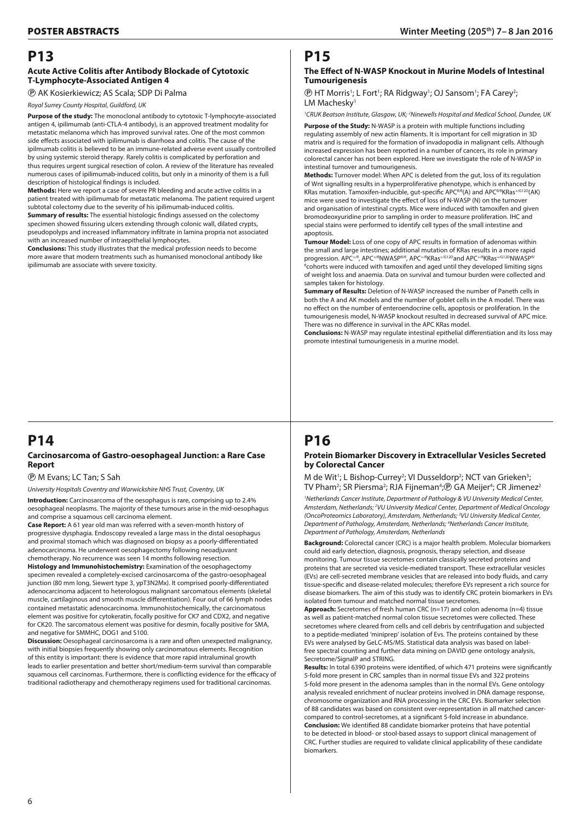### **Acute Active Colitis after Antibody Blockade of Cytotoxic T-Lymphocyte-Associated Antigen 4**

P AK Kosierkiewicz; AS Scala; SDP Di Palma

*Royal Surrey County Hospital, Guildford, UK*

**Purpose of the study:** The monoclonal antibody to cytotoxic T-lymphocyte-associated antigen 4, ipilimumab (anti-CTLA-4 antibody), is an approved treatment modality for metastatic melanoma which has improved survival rates. One of the most common side effects associated with ipilimumab is diarrhoea and colitis. The cause of the ipilmumab colitis is believed to be an immune-related adverse event usually controlled by using systemic steroid therapy. Rarely colitis is complicated by perforation and thus requires urgent surgical resection of colon. A review of the literature has revealed numerous cases of ipilimumab-induced colitis, but only in a minority of them is a full description of histological findings is included.

**Methods:** Here we report a case of severe PR bleeding and acute active colitis in a patient treated with ipilimumab for metastatic melanoma. The patient required urgent subtotal colectomy due to the severity of his ipilimumab-induced colitis.

**Summary of results:** The essential histologic findings assessed on the colectomy specimen showed fissuring ulcers extending through colonic wall, dilated crypts, pseudopolyps and increased inflammatory infiltrate in lamina propria not associated with an increased number of intraepithelial lymphocytes.

**Conclusions:** This study illustrates that the medical profession needs to become more aware that modern treatments such as humanised monoclonal antibody like ipilimumab are associate with severe toxicity.

# **P14**

### **Carcinosarcoma of Gastro-oesophageal Junction: a Rare Case Report**

P M Evans; LC Tan; S Sah

*University Hospitals Coventry and Warwickshire NHS Trust, Coventry, UK*

**Introduction:** Carcinosarcoma of the oesophagus is rare, comprising up to 2.4% oesophageal neoplasms. The majority of these tumours arise in the mid-oesophagus and comprise a squamous cell carcinoma element.

**Case Report:** A 61 year old man was referred with a seven-month history of progressive dysphagia. Endoscopy revealed a large mass in the distal oesophagus and proximal stomach which was diagnosed on biopsy as a poorly-differentiated adenocarcinoma. He underwent oesophagectomy following neoadjuvant chemotherapy. No recurrence was seen 14 months following resection. **Histology and Immunohistochemistry:** Examination of the oesophagectomy

specimen revealed a completely-excised carcinosarcoma of the gastro-oesophageal junction (80 mm long, Siewert type 3, ypT3N2Mx). It comprised poorly-differentiated adenocarcinoma adjacent to heterologous malignant sarcomatous elements (skeletal muscle, cartilaginous and smooth muscle differentiation). Four out of 66 lymph nodes contained metastatic adenocarcinoma. Immunohistochemically, the carcinomatous element was positive for cytokeratin, focally positive for CK7 and CDX2, and negative for CK20. The sarcomatous element was positive for desmin, focally positive for SMA, and negative for SMMHC, DOG1 and S100.

**Discussion:** Oesophageal carcinosarcoma is a rare and often unexpected malignancy, with initial biopsies frequently showing only carcinomatous elements. Recognition of this entity is important: there is evidence that more rapid intraluminal growth leads to earlier presentation and better short/medium-term survival than comparable squamous cell carcinomas. Furthermore, there is conflicting evidence for the efficacy of traditional radiotherapy and chemotherapy regimens used for traditional carcinomas.

# **P15**

### **The Effect of N-WASP Knockout in Murine Models of Intestinal Tumourigenesis**

**(B)** HT Morris<sup>1</sup>; L Fort<sup>1</sup>; RA Ridgway<sup>1</sup>; OJ Sansom<sup>1</sup>; FA Carey<sup>2</sup>; LM Machesky<sup>1</sup>

<sup>1</sup> CRUK Beatson Institute, Glasgow, UK; <sup>2</sup> Ninewells Hospital and Medical School, Dundee, UK

**Purpose of the Study:** N-WASP is a protein with multiple functions including regulating assembly of new actin filaments. It is important for cell migration in 3D matrix and is required for the formation of invadopodia in malignant cells. Although increased expression has been reported in a number of cancers, its role in primary colorectal cancer has not been explored. Here we investigate the role of N-WASP in intestinal turnover and tumourigenesis.

**Methods:** Turnover model: When APC is deleted from the gut, loss of its regulation of Wnt signalling results in a hyperproliferative phenotype, which is enhanced by KRas mutation. Tamoxifen-inducible, gut-specific APC $n/R$ (A) and APC $n/R$ as+/G12 mice were used to investigate the effect of loss of N-WASP (N) on the turnover and organisation of intestinal crypts. Mice were induced with tamoxifen and given bromodeoxyuridine prior to sampling in order to measure proliferation. IHC and special stains were performed to identify cell types of the small intestine and apoptosis.

**Tumour Model:** Loss of one copy of APC results in formation of adenomas within the small and large intestines; additional mutation of KRas results in a more rapid progression. APC<sup>+/fl</sup>, APC<sup>+/fl</sup>NWASPfl/fl, APC<sup>+/fl</sup>KRas<sup>+/G12D</sup>and APC<sup>+/fl</sup>KRas<sup>+/G12D</sup>NWASPfl <sup>fi</sup>cohorts were induced with tamoxifen and aged until they developed limiting signs of weight loss and anaemia. Data on survival and tumour burden were collected and samples taken for histology.

**Summary of Results:** Deletion of N-WASP increased the number of Paneth cells in both the A and AK models and the number of goblet cells in the A model. There was no effect on the number of enteroendocrine cells, apoptosis or proliferation. In the tumourigenesis model, N-WASP knockout resulted in decreased survival of APC mice. There was no difference in survival in the APC KRas model.

**Conclusions:** N-WASP may regulate intestinal epithelial differentiation and its loss may promote intestinal tumourigenesis in a murine model.

# **P16**

### **Protein Biomarker Discovery in Extracellular Vesicles Secreted by Colorectal Cancer**

M de Wit<sup>1</sup>; L Bishop-Currey<sup>2</sup>; VI Dusseldorp<sup>2</sup>; NCT van Grieken<sup>3</sup>; TV Pham<sup>2</sup>; SR Piersma<sup>2</sup>; RJA Fijneman<sup>4</sup>;<sup>®</sup> GA Meijer<sup>4</sup>; CR Jimenez<sup>2</sup>

<sup>1</sup> Netherlands Cancer Institute, Department of Pathology & VU University Medical Center, *Amsterdam, Netherlands; 2 VU University Medical Center, Department of Medical Oncology (OncoProteomics Laboratory), Amsterdam, Netherlands; 3 VU University Medical Center, Department of Pathology, Amsterdam, Netherlands; 4 Netherlands Cancer Institute, Department of Pathology, Amsterdam, Netherlands*

**Background:** Colorectal cancer (CRC) is a major health problem. Molecular biomarkers could aid early detection, diagnosis, prognosis, therapy selection, and disease monitoring. Tumour tissue secretomes contain classically secreted proteins and proteins that are secreted via vesicle-mediated transport. These extracellular vesicles (EVs) are cell-secreted membrane vesicles that are released into body fluids, and carry tissue-specific and disease-related molecules; therefore EVs represent a rich source for disease biomarkers. The aim of this study was to identify CRC protein biomarkers in EVs isolated from tumour and matched normal tissue secretomes.

**Approach:** Secretomes of fresh human CRC (n=17) and colon adenoma (n=4) tissue as well as patient-matched normal colon tissue secretomes were collected. These secretomes where cleared from cells and cell debris by centrifugation and subjected to a peptide-mediated 'miniprep' isolation of Evs. The proteins contained by these EVs were analysed by GeLC-MS/MS. Statistical data analysis was based on labelfree spectral counting and further data mining on DAVID gene ontology analysis, Secretome/SignalP and STRING.

**Results:** In total 6390 proteins were identified, of which 471 proteins were significantly 5-fold more present in CRC samples than in normal tissue EVs and 322 proteins 5-fold more present in the adenoma samples than in the normal EVs. Gene ontology analysis revealed enrichment of nuclear proteins involved in DNA damage response, chromosome organization and RNA processing in the CRC EVs. Biomarker selection of 88 candidates was based on consistent over-representation in all matched cancercompared to control-secretomes, at a significant 5-fold increase in abundance. **Conclusion:** We identified 88 candidate biomarker proteins that have potential to be detected in blood- or stool-based assays to support clinical management of CRC. Further studies are required to validate clinical applicability of these candidate biomarkers.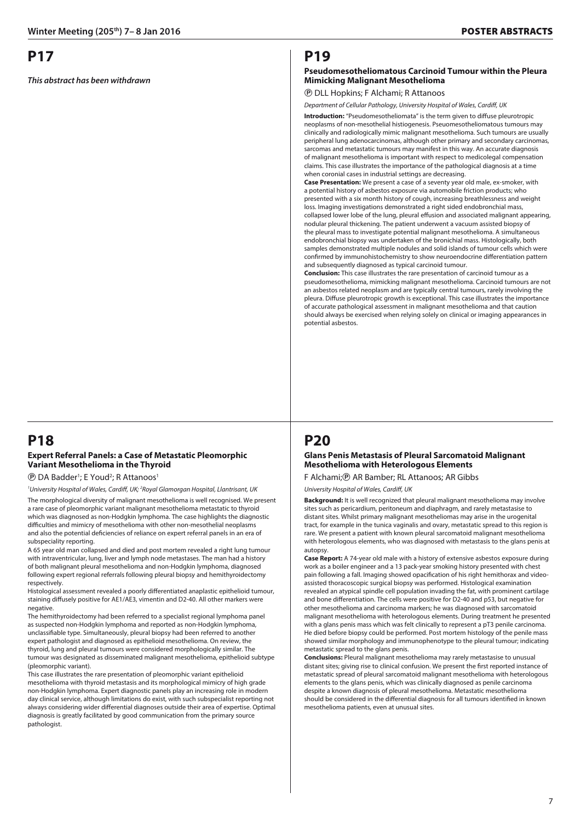*This abstract has been withdrawn*

# **P19**

### **Pseudomesotheliomatous Carcinoid Tumour within the Pleura Mimicking Malignant Mesothelioma**

P DLL Hopkins; F Alchami; R Attanoos

*Department of Cellular Pathology, University Hospital of Wales, Cardiff, UK*

**Introduction:** "Pseudomesotheliomata" is the term given to diffuse pleurotropic neoplasms of non-mesothelial histiogenesis. Pseuomesotheliomatous tumours may clinically and radiologically mimic malignant mesothelioma. Such tumours are usually peripheral lung adenocarcinomas, although other primary and secondary carcinomas, sarcomas and metastatic tumours may manifest in this way. An accurate diagnosis of malignant mesothelioma is important with respect to medicolegal compensation claims. This case illustrates the importance of the pathological diagnosis at a time when coronial cases in industrial settings are decreasing.

**Case Presentation:** We present a case of a seventy year old male, ex-smoker, with a potential history of asbestos exposure via automobile friction products; who presented with a six month history of cough, increasing breathlessness and weight loss. Imaging investigations demonstrated a right sided endobronchial mass, collapsed lower lobe of the lung, pleural effusion and associated malignant appearing, nodular pleural thickening. The patient underwent a vacuum assisted biopsy of the pleural mass to investigate potential malignant mesothelioma. A simultaneous endobronchial biopsy was undertaken of the bronichial mass. Histologically, both samples demonstrated multiple nodules and solid islands of tumour cells which were confirmed by immunohistochemistry to show neuroendocrine differentiation pattern and subsequently diagnosed as typical carcinoid tumour.

**Conclusion:** This case illustrates the rare presentation of carcinoid tumour as a pseudomesothelioma, mimicking malignant mesothelioma. Carcinoid tumours are not an asbestos related neoplasm and are typically central tumours, rarely involving the pleura. Diffuse pleurotropic growth is exceptional. This case illustrates the importance of accurate pathological assessment in malignant mesothelioma and that caution should always be exercised when relying solely on clinical or imaging appearances in potential asbestos.

# **P18**

# **Expert Referral Panels: a Case of Metastatic Pleomorphic Variant Mesothelioma in the Thyroid**

*<b>P* DA Badder<sup>1</sup>; E Youd<sup>2</sup>; R Attanoos<sup>1</sup>

<sup>1</sup> University Hospital of Wales, Cardiff, UK; <sup>2</sup> Royal Glamorgan Hospital, Llantrisant, UK

The morphological diversity of malignant mesothelioma is well recognised. We present a rare case of pleomorphic variant malignant mesothelioma metastatic to thyroid which was diagnosed as non-Hodgkin lymphoma. The case highlights the diagnostic difficulties and mimicry of mesothelioma with other non-mesothelial neoplasms and also the potential deficiencies of reliance on expert referral panels in an era of subspeciality reporting.

A 65 year old man collapsed and died and post mortem revealed a right lung tumour with intraventricular, lung, liver and lymph node metastases. The man had a history of both malignant pleural mesothelioma and non-Hodgkin lymphoma, diagnosed following expert regional referrals following pleural biopsy and hemithyroidectomy respectively.

Histological assessment revealed a poorly differentiated anaplastic epithelioid tumour, staining diffusely positive for AE1/AE3, vimentin and D2-40. All other markers were negative.

The hemithyroidectomy had been referred to a specialist regional lymphoma panel as suspected non-Hodgkin lymphoma and reported as non-Hodgkin lymphoma, unclassifiable type. Simultaneously, pleural biopsy had been referred to another expert pathologist and diagnosed as epithelioid mesothelioma. On review, the thyroid, lung and pleural tumours were considered morphologically similar. The tumour was designated as disseminated malignant mesothelioma, epithelioid subtype (pleomorphic variant).

This case illustrates the rare presentation of pleomorphic variant epithelioid mesothelioma with thyroid metastasis and its morphological mimicry of high grade non-Hodgkin lymphoma. Expert diagnostic panels play an increasing role in modern day clinical service, although limitations do exist, with such subspecialist reporting not always considering wider differential diagnoses outside their area of expertise. Optimal diagnosis is greatly facilitated by good communication from the primary source pathologist.

# **P20**

### **Glans Penis Metastasis of Pleural Sarcomatoid Malignant Mesothelioma with Heterologous Elements**

F Alchami;P AR Bamber; RL Attanoos; AR Gibbs

*University Hospital of Wales, Cardiff, UK*

**Background:** It is well recognized that pleural malignant mesothelioma may involve sites such as pericardium, peritoneum and diaphragm, and rarely metastasise to distant sites. Whilst primary malignant mesotheliomas may arise in the urogenital tract, for example in the tunica vaginalis and ovary, metastatic spread to this region is rare. We present a patient with known pleural sarcomatoid malignant mesothelioma with heterologous elements, who was diagnosed with metastasis to the glans penis at autopsy.

**Case Report:** A 74-year old male with a history of extensive asbestos exposure during work as a boiler engineer and a 13 pack-year smoking history presented with chest pain following a fall. Imaging showed opacification of his right hemithorax and videoassisted thoracoscopic surgical biopsy was performed. Histological examination revealed an atypical spindle cell population invading the fat, with prominent cartilage and bone differentiation. The cells were positive for D2-40 and p53, but negative for other mesothelioma and carcinoma markers; he was diagnosed with sarcomatoid malignant mesothelioma with heterologous elements. During treatment he presented with a glans penis mass which was felt clinically to represent a pT3 penile carcinoma. He died before biopsy could be performed. Post mortem histology of the penile mass showed similar morphology and immunophenotype to the pleural tumour; indicating metastatic spread to the glans penis.

**Conclusions:** Pleural malignant mesothelioma may rarely metastasise to unusual distant sites; giving rise to clinical confusion. We present the first reported instance of metastatic spread of pleural sarcomatoid malignant mesothelioma with heterologous elements to the glans penis, which was clinically diagnosed as penile carcinoma despite a known diagnosis of pleural mesothelioma. Metastatic mesothelioma should be considered in the differential diagnosis for all tumours identified in known mesothelioma patients, even at unusual sites.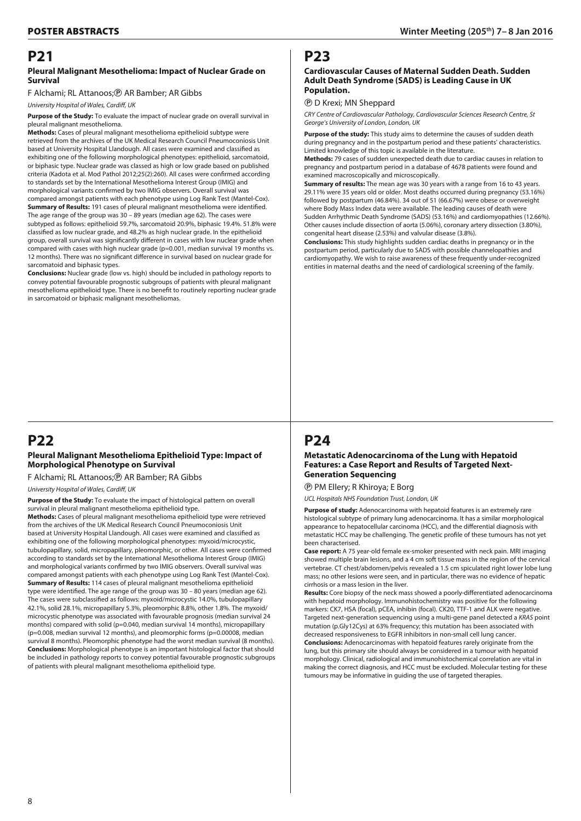### **Pleural Malignant Mesothelioma: Impact of Nuclear Grade on Survival**

F Alchami; RL Attanoos; ® AR Bamber; AR Gibbs

*University Hospital of Wales, Cardiff, UK*

**Purpose of the Study:** To evaluate the impact of nuclear grade on overall survival in pleural malignant mesothelioma.

**Methods:** Cases of pleural malignant mesothelioma epithelioid subtype were retrieved from the archives of the UK Medical Research Council Pneumoconiosis Unit based at University Hospital Llandough. All cases were examined and classified as exhibiting one of the following morphological phenotypes: epithelioid, sarcomatoid, or biphasic type. Nuclear grade was classed as high or low grade based on published criteria (Kadota et al. Mod Pathol 2012;25(2):260). All cases were confirmed according to standards set by the International Mesothelioma Interest Group (IMIG) and morphological variants confirmed by two IMIG observers. Overall survival was compared amongst patients with each phenotype using Log Rank Test (Mantel-Cox).

**Summary of Results:** 191 cases of pleural malignant mesothelioma were identified. The age range of the group was 30 – 89 years (median age 62). The cases were subtyped as follows: epithelioid 59.7%, sarcomatoid 20.9%, biphasic 19.4%. 51.8% were classified as low nuclear grade, and 48.2% as high nuclear grade. In the epithelioid group, overall survival was significantly different in cases with low nuclear grade when compared with cases with high nuclear grade (p=0.001, median survival 19 months vs. 12 months). There was no significant difference in survival based on nuclear grade for sarcomatoid and biphasic types.

**Conclusions:** Nuclear grade (low vs. high) should be included in pathology reports to convey potential favourable prognostic subgroups of patients with pleural malignant mesothelioma epithelioid type. There is no benefit to routinely reporting nuclear grade in sarcomatoid or biphasic malignant mesotheliomas.

# **P22**

### **Pleural Malignant Mesothelioma Epithelioid Type: Impact of Morphological Phenotype on Survival**

F Alchami; RL Attanoos; @ AR Bamber; RA Gibbs

*University Hospital of Wales, Cardiff, UK*

Purpose of the Study: To evaluate the impact of histological pattern on overall survival in pleural malignant mesothelioma epithelioid type.

**Methods:** Cases of pleural malignant mesothelioma epithelioid type were retrieved from the archives of the UK Medical Research Council Pneumoconiosis Unit based at University Hospital Llandough. All cases were examined and classified as exhibiting one of the following morphological phenotypes: myxoid/microcystic, tubulopapillary, solid, micropapillary, pleomorphic, or other. All cases were confirmed according to standards set by the International Mesothelioma Interest Group (IMIG) and morphological variants confirmed by two IMIG observers. Overall survival was compared amongst patients with each phenotype using Log Rank Test (Mantel-Cox). **Summary of Results:** 114 cases of pleural malignant mesothelioma epithelioid type were identified. The age range of the group was 30 – 80 years (median age 62). The cases were subclassified as follows: myxoid/microcystic 14.0%, tubulopapillary 42.1%, solid 28.1%, micropapillary 5.3%, pleomorphic 8.8%, other 1.8%. The myxoid/ microcystic phenotype was associated with favourable prognosis (median survival 24 months) compared with solid (p=0.040, median survival 14 months), micropapillary (p=0.008, median survival 12 months), and pleomorphic forms (p=0.00008, median survival 8 months). Pleomorphic phenotype had the worst median survival (8 months). **Conclusions:** Morphological phenotype is an important histological factor that should be included in pathology reports to convey potential favourable prognostic subgroups of patients with pleural malignant mesothelioma epithelioid type.

# **P23**

### **Cardiovascular Causes of Maternal Sudden Death. Sudden Adult Death Syndrome (SADS) is Leading Cause in UK Population.**

### P D Krexi; MN Sheppard

*CRY Centre of Cardiovascular Pathology, Cardiovascular Sciences Research Centre, St George's University of London, London, UK*

**Purpose of the study:** This study aims to determine the causes of sudden death during pregnancy and in the postpartum period and these patients' characteristics. Limited knowledge of this topic is available in the literature.

**Methods:** 79 cases of sudden unexpected death due to cardiac causes in relation to pregnancy and postpartum period in a database of 4678 patients were found and examined macroscopically and microscopically.

**Summary of results:** The mean age was 30 years with a range from 16 to 43 years. 29.11% were 35 years old or older. Most deaths occurred during pregnancy (53.16%) followed by postpartum (46.84%). 34 out of 51 (66.67%) were obese or overweight where Body Mass Index data were available. The leading causes of death were Sudden Arrhythmic Death Syndrome (SADS) (53.16%) and cardiomyopathies (12.66%). Other causes include dissection of aorta (5.06%), coronary artery dissection (3.80%), congenital heart disease (2.53%) and valvular disease (3.8%).

**Conclusions:** This study highlights sudden cardiac deaths in pregnancy or in the postpartum period, particularly due to SADS with possible channelopathies and cardiomyopathy. We wish to raise awareness of these frequently under-recognized entities in maternal deaths and the need of cardiological screening of the family.

# **P24**

### **Metastatic Adenocarcinoma of the Lung with Hepatoid Features: a Case Report and Results of Targeted Next-Generation Sequencing**

P PM Ellery; R Khiroya; E Borg

*UCL Hospitals NHS Foundation Trust, London, UK*

**Purpose of study:** Adenocarcinoma with hepatoid features is an extremely rare histological subtype of primary lung adenocarcinoma. It has a similar morphological appearance to hepatocellular carcinoma (HCC), and the differential diagnosis with metastatic HCC may be challenging. The genetic profile of these tumours has not yet been characterised.

**Case report:** A 75 year-old female ex-smoker presented with neck pain. MRI imaging showed multiple brain lesions, and a 4 cm soft tissue mass in the region of the cervical vertebrae. CT chest/abdomen/pelvis revealed a 1.5 cm spiculated right lower lobe lung mass; no other lesions were seen, and in particular, there was no evidence of hepatic cirrhosis or a mass lesion in the liver.

**Results:** Core biopsy of the neck mass showed a poorly-differentiated adenocarcinoma with hepatoid morphology. Immunohistochemistry was positive for the following markers: CK7, HSA (focal), pCEA, inhibin (focal). CK20, TTF-1 and ALK were negative. Targeted next-generation sequencing using a multi-gene panel detected a *KRAS* point mutation (p.Gly12Cys) at 63% frequency; this mutation has been associated with decreased responsiveness to EGFR inhibitors in non-small cell lung cancer.

**Conclusions:** Adenocarcinomas with hepatoid features rarely originate from the lung, but this primary site should always be considered in a tumour with hepatoid morphology. Clinical, radiological and immunohistochemical correlation are vital in making the correct diagnosis, and HCC must be excluded. Molecular testing for these tumours may be informative in guiding the use of targeted therapies.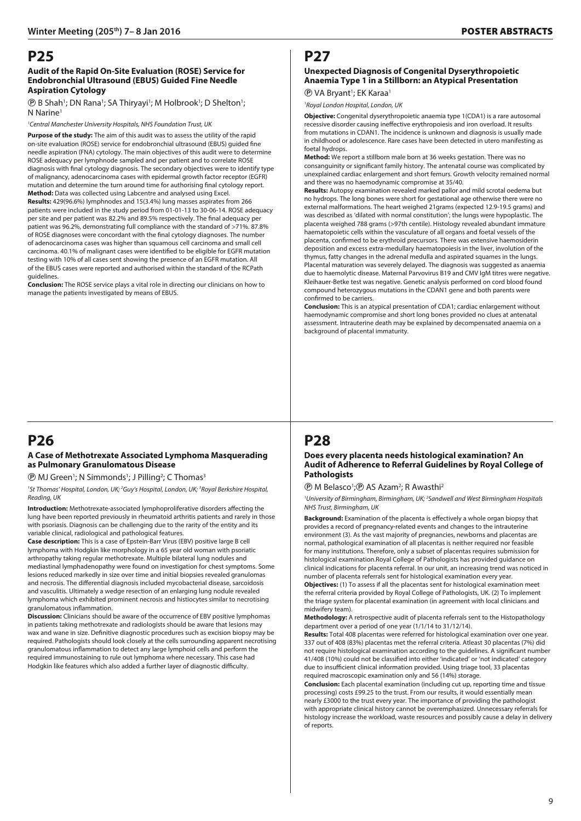### **Audit of the Rapid On-Site Evaluation (ROSE) Service for Endobronchial Ultrasound (EBUS) Guided Fine Needle Aspiration Cytology**

*(***)** B Shah<sup>1</sup>; DN Rana<sup>1</sup>; SA Thiryayi<sup>1</sup>; M Holbrook<sup>1</sup>; D Shelton<sup>1</sup>; N Narine1

*1 Central Manchester University Hospitals, NHS Foundation Trust, UK*

**Purpose of the study:** The aim of this audit was to assess the utility of the rapid on-site evaluation (ROSE) service for endobronchial ultrasound (EBUS) guided fine needle aspiration (FNA) cytology. The main objectives of this audit were to determine ROSE adequacy per lymphnode sampled and per patient and to correlate ROSE diagnosis with final cytology diagnosis. The secondary objectives were to identify type of malignancy, adenocarcinoma cases with epidermal growth factor receptor (EGFR) mutation and determine the turn around time for authorising final cytology report. **Method:** Data was collected using Labcentre and analysed using Excel. **Results:** 429(96.6%) lymphnodes and 15(3.4%) lung masses aspirates from 266 patients were included in the study period from 01-01-13 to 30-06-14. ROSE adequacy per site and per patient was 82.2% and 89.5% respectively. The final adequacy per patient was 96.2%, demonstrating full compliance with the standard of >71%. 87.8% of ROSE diagnoses were concordant with the final cytology diagnoses. The number of adenocarcinoma cases was higher than squamous cell carcinoma and small cell carcinoma. 40.1% of malignant cases were identified to be eligible for EGFR mutation testing with 10% of all cases sent showing the presence of an EGFR mutation. All of the EBUS cases were reported and authorised within the standard of the RCPath guidelines.

**Conclusion:** The ROSE service plays a vital role in directing our clinicians on how to manage the patients investigated by means of EBUS.

# **P26**

### **A Case of Methotrexate Associated Lymphoma Masquerading as Pulmonary Granulomatous Disease**

 $\textcircled{P}$  MJ Green<sup>1</sup>; N Simmonds<sup>1</sup>; J Pilling<sup>2</sup>; C Thomas<sup>3</sup>

<sup>1</sup>St Thomas' Hospital, London, UK; <sup>2</sup>Guy's Hospital, London, UK; <sup>3</sup> Royal Berkshire Hospital, *Reading, UK*

**Introduction:** Methotrexate-associated lymphoproliferative disorders affecting the lung have been reported previously in rheumatoid arthritis patients and rarely in those with psoriasis. Diagnosis can be challenging due to the rarity of the entity and its variable clinical, radiological and pathological features.

**Case description:** This is a case of Epstein-Barr Virus (EBV) positive large B cell lymphoma with Hodgkin like morphology in a 65 year old woman with psoriatic arthropathy taking regular methotrexate. Multiple bilateral lung nodules and mediastinal lymphadenopathy were found on investigation for chest symptoms. Some lesions reduced markedly in size over time and initial biopsies revealed granulomas and necrosis. The differential diagnosis included mycobacterial disease, sarcoidosis and vasculitis. Ultimately a wedge resection of an enlarging lung nodule revealed lymphoma which exhibited prominent necrosis and histiocytes similar to necrotising granulomatous inflammation.

**Discussion:** Clinicians should be aware of the occurrence of EBV positive lymphomas in patients taking methotrexate and radiologists should be aware that lesions may wax and wane in size. Definitive diagnostic procedures such as excision biopsy may be required. Pathologists should look closely at the cells surrounding apparent necrotising granulomatous inflammation to detect any large lymphoid cells and perform the required immunostaining to rule out lymphoma where necessary. This case had Hodgkin like features which also added a further layer of diagnostic difficulty.

# **P27**

# **Unexpected Diagnosis of Congenital Dyserythropoietic Anaemia Type 1 in a Stillborn: an Atypical Presentation**

**(B)** VA Bryant<sup>1</sup>; EK Karaa<sup>1</sup>

*1 Royal London Hospital, London, UK*

**Objective:** Congenital dyserythropoietic anaemia type 1(CDA1) is a rare autosomal recessive disorder causing ineffective erythropoiesis and iron overload. It results from mutations in CDAN1. The incidence is unknown and diagnosis is usually made in childhood or adolescence. Rare cases have been detected in utero manifesting as foetal hydrops.

**Method:** We report a stillborn male born at 36 weeks gestation. There was no consanguinity or significant family history. The antenatal course was complicated by unexplained cardiac enlargement and short femurs. Growth velocity remained normal and there was no haemodynamic compromise at 35/40.

**Results:** Autopsy examination revealed marked pallor and mild scrotal oedema but no hydrops. The long bones were short for gestational age otherwise there were no external malformations. The heart weighed 21grams (expected 12.9-19.5 grams) and was described as 'dilated with normal constitution'; the lungs were hypoplastic. The placenta weighed 788 grams (>97th centile). Histology revealed abundant immature haematopoietic cells within the vasculature of all organs and foetal vessels of the placenta, confirmed to be erythroid precursors. There was extensive haemosiderin deposition and excess extra-medullary haematopoiesis in the liver, involution of the thymus, fatty changes in the adrenal medulla and aspirated squames in the lungs. Placental maturation was severely delayed. The diagnosis was suggested as anaemia due to haemolytic disease. Maternal Parvovirus B19 and CMV IgM titres were negative. Kleihauer-Betke test was negative. Genetic analysis performed on cord blood found compound heterozygous mutations in the CDAN1 gene and both parents were confirmed to be carriers.

**Conclusion:** This is an atypical presentation of CDA1; cardiac enlargement without haemodynamic compromise and short long bones provided no clues at antenatal assessment. Intrauterine death may be explained by decompensated anaemia on a background of placental immaturity.

# **P28**

### **Does every placenta needs histological examination? An Audit of Adherence to Referral Guidelines by Royal College of Pathologists**

**(B)** M Belasco<sup>1</sup>; **(B)** AS Azam<sup>2</sup>; R Awasthi<sup>2</sup>

*1 University of Birmingham, Birmingham, UK; 2 Sandwell and West Birmingham Hospitals NHS Trust, Birmingham, UK*

**Background:** Examination of the placenta is effectively a whole organ biopsy that provides a record of pregnancy-related events and changes to the intrauterine environment (3). As the vast majority of pregnancies, newborns and placentas are normal, pathological examination of all placentas is neither required nor feasible for many institutions. Therefore, only a subset of placentas requires submission for histological examination.Royal College of Pathologists has provided guidance on clinical indications for placenta referral. In our unit, an increasing trend was noticed in number of placenta referrals sent for histological examination every year.

**Objectives:** (1) To assess if all the placentas sent for histological examination meet the referral criteria provided by Royal College of Pathologists, UK. (2) To implement the triage system for placental examination (in agreement with local clinicians and midwifery team).

**Methodology:** A retrospective audit of placenta referrals sent to the Histopathology department over a period of one year (1/1/14 to 31/12/14).

**Results:** Total 408 placentas were referred for histological examination over one year. 337 out of 408 (83%) placentas met the referral criteria. Atleast 30 placentas (7%) did not require histological examination according to the guidelines. A significant number 41/408 (10%) could not be classified into either 'indicated' or 'not indicated' category due to insufficient clinical information provided. Using triage tool, 33 placentas required macroscopic examination only and 56 (14%) storage.

**Conclusion:** Each placental examination (including cut up, reporting time and tissue processing) costs £99.25 to the trust. From our results, it would essentially mean nearly £3000 to the trust every year. The importance of providing the pathologist with appropriate clinical history cannot be overemphasized. Unnecessary referrals for histology increase the workload, waste resources and possibly cause a delay in delivery of reports.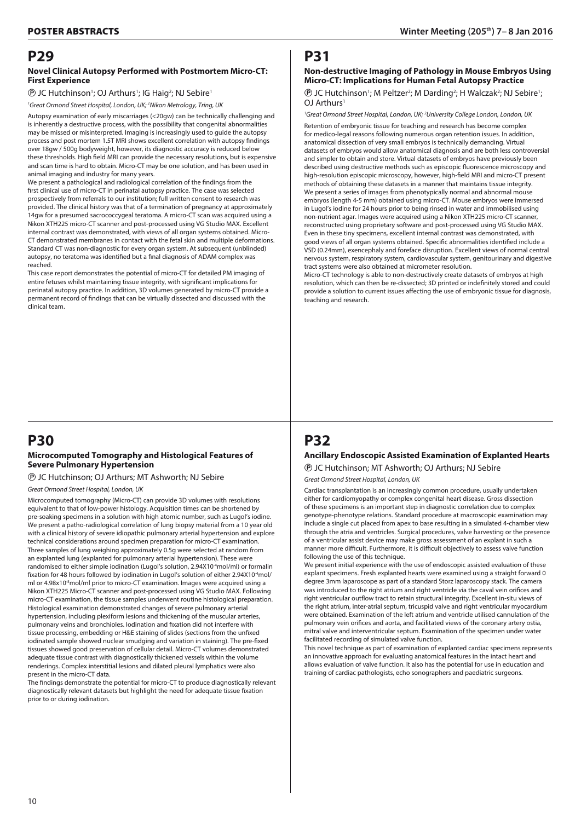### **Novel Clinical Autopsy Performed with Postmortem Micro-CT: First Experience**

**@ JC Hutchinson<sup>1</sup>; OJ Arthurs<sup>1</sup>; IG Haig<sup>2</sup>; NJ Sebire<sup>1</sup>** 

<sup>1</sup> Great Ormond Street Hospital, London, UK; <sup>2</sup> Nikon Metrology, Tring, UK

Autopsy examination of early miscarriages (<20gw) can be technically challenging and is inherently a destructive process, with the possibility that congenital abnormalities may be missed or misinterpreted. Imaging is increasingly used to guide the autopsy process and post mortem 1.5T MRI shows excellent correlation with autopsy findings over 18gw / 500g bodyweight, however, its diagnostic accuracy is reduced below these thresholds. High field MRI can provide the necessary resolutions, but is expensive and scan time is hard to obtain. Micro-CT may be one solution, and has been used in animal imaging and industry for many years.

We present a pathological and radiological correlation of the findings from the first clinical use of micro-CT in perinatal autopsy practice. The case was selected prospectively from referrals to our institution; full written consent to research was provided. The clinical history was that of a termination of pregnancy at approximately 14gw for a presumed sacrococcygeal teratoma. A micro-CT scan was acquired using a Nikon XTH225 micro-CT scanner and post-processed using VG Studio MAX. Excellent internal contrast was demonstrated, with views of all organ systems obtained. Micro-CT demonstrated membranes in contact with the fetal skin and multiple deformations. Standard CT was non-diagnostic for every organ system. At subsequent (unblinded) autopsy, no teratoma was identified but a final diagnosis of ADAM complex was reached.

This case report demonstrates the potential of micro-CT for detailed PM imaging of entire fetuses whilst maintaining tissue integrity, with significant implications for perinatal autopsy practice. In addition, 3D volumes generated by micro-CT provide a permanent record of findings that can be virtually dissected and discussed with the clinical team.

# **P30**

### **Microcomputed Tomography and Histological Features of Severe Pulmonary Hypertension**

P JC Hutchinson; OJ Arthurs; MT Ashworth; NJ Sebire

*Great Ormond Street Hospital, London, UK*

Microcomputed tomography (Micro-CT) can provide 3D volumes with resolutions equivalent to that of low-power histology. Acquisition times can be shortened by pre-soaking specimens in a solution with high atomic number, such as Lugol's iodine. We present a patho-radiological correlation of lung biopsy material from a 10 year old with a clinical history of severe idiopathic pulmonary arterial hypertension and explore technical considerations around specimen preparation for micro-CT examination. Three samples of lung weighing approximately 0.5g were selected at random from an explanted lung (explanted for pulmonary arterial hypertension). These were randomised to either simple iodination (Lugol's solution, 2.94X10-4mol/ml) or formalin fixation for 48 hours followed by iodination in Lugol's solution of either 2.94X10<sup>-4</sup>mol/ ml or 4.98x10-5mol/ml prior to micro-CT examination. Images were acquired using a Nikon XTH225 Micro-CT scanner and post-processed using VG Studio MAX. Following micro-CT examination, the tissue samples underwent routine histological preparation. Histological examination demonstrated changes of severe pulmonary arterial hypertension, including plexiform lesions and thickening of the muscular arteries, pulmonary veins and bronchioles. Iodination and fixation did not interfere with tissue processing, embedding or H&E staining of slides (sections from the unfixed iodinated sample showed nuclear smudging and variation in staining). The pre-fixed tissues showed good preservation of cellular detail. Micro-CT volumes demonstrated adequate tissue contrast with diagnostically thickened vessels within the volume renderings. Complex interstitial lesions and dilated pleural lymphatics were also present in the micro-CT data.

The findings demonstrate the potential for micro-CT to produce diagnostically relevant diagnostically relevant datasets but highlight the need for adequate tissue fixation prior to or during iodination.

# **P31**

# **Non-destructive Imaging of Pathology in Mouse Embryos Using Micro-CT: Implications for Human Fetal Autopsy Practice**

**(B)** JC Hutchinson<sup>1</sup>; M Peltzer<sup>2</sup>; M Darding<sup>2</sup>; H Walczak<sup>2</sup>; NJ Sebire<sup>1</sup>; OJ Arthurs<sup>1</sup>

<sup>1</sup>Great Ormond Street Hospital, London, UK; <sup>2</sup>University College London, London, UK Retention of embryonic tissue for teaching and research has become complex for medico-legal reasons following numerous organ retention issues. In addition, anatomical dissection of very small embryos is technically demanding. Virtual datasets of embryos would allow anatomical diagnosis and are both less controversial and simpler to obtain and store. Virtual datasets of embryos have previously been described using destructive methods such as episcopic fluorescence microscopy and high-resolution episcopic microscopy, however, high-field MRI and micro-CT present methods of obtaining these datasets in a manner that maintains tissue integrity. We present a series of images from phenotypically normal and abnormal mouse embryos (length 4-5 mm) obtained using micro-CT. Mouse embryos were immersed in Lugol's iodine for 24 hours prior to being rinsed in water and immobilised using non-nutrient agar. Images were acquired using a Nikon XTH225 micro-CT scanner, reconstructed using proprietary software and post-processed using VG Studio MAX. Even in these tiny specimens, excellent internal contrast was demonstrated, with good views of all organ systems obtained. Specific abnormalities identified include a VSD (0.24mm), exencephaly and foreface disruption. Excellent views of normal central nervous system, respiratory system, cardiovascular system, genitourinary and digestive tract systems were also obtained at micrometer resolution.

Micro-CT technology is able to non-destructively create datasets of embryos at high resolution, which can then be re-dissected; 3D printed or indefinitely stored and could provide a solution to current issues affecting the use of embryonic tissue for diagnosis, teaching and research.

# **P32**

# **Ancillary Endoscopic Assisted Examination of Explanted Hearts**

P JC Hutchinson; MT Ashworth; OJ Arthurs; NJ Sebire

*Great Ormond Street Hospital, London, UK*

Cardiac transplantation is an increasingly common procedure, usually undertaken either for cardiomyopathy or complex congenital heart disease. Gross dissection of these specimens is an important step in diagnostic correlation due to complex genotype-phenotype relations. Standard procedure at macroscopic examination may include a single cut placed from apex to base resulting in a simulated 4-chamber view through the atria and ventricles. Surgical procedures, valve harvesting or the presence of a ventricular assist device may make gross assessment of an explant in such a manner more difficult. Furthermore, it is difficult objectively to assess valve function following the use of this technique.

We present initial experience with the use of endoscopic assisted evaluation of these explant specimens. Fresh explanted hearts were examined using a straight forward 0 degree 3mm laparoscope as part of a standard Storz laparoscopy stack. The camera was introduced to the right atrium and right ventricle via the caval vein orifices and right ventricular outflow tract to retain structural integrity. Excellent in-situ views of the right atrium, inter-atrial septum, tricuspid valve and right ventricular myocardium were obtained. Examination of the left atrium and ventricle utilised cannulation of the pulmonary vein orifices and aorta, and facilitated views of the coronary artery ostia, mitral valve and interventricular septum. Examination of the specimen under water facilitated recording of simulated valve function.

This novel technique as part of examination of explanted cardiac specimens represents an innovative approach for evaluating anatomical features in the intact heart and allows evaluation of valve function. It also has the potential for use in education and training of cardiac pathologists, echo sonographers and paediatric surgeons.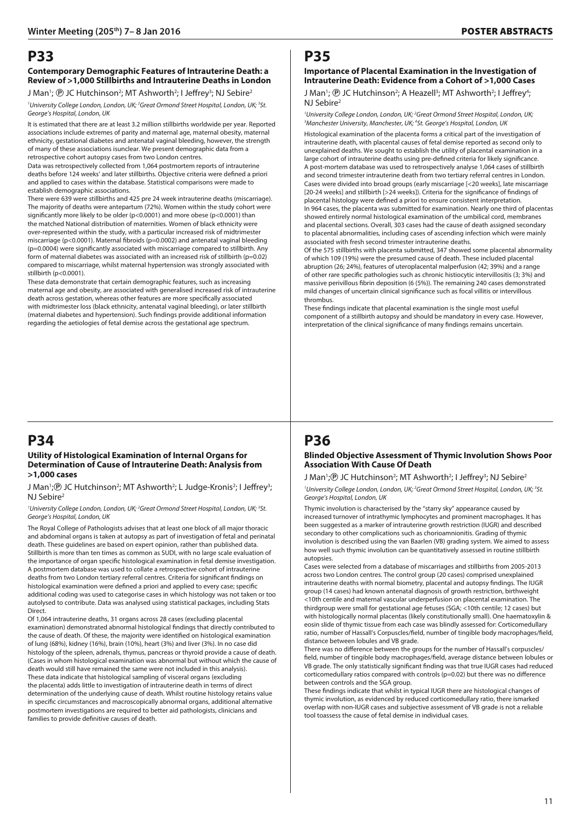## **Contemporary Demographic Features of Intrauterine Death: a Review of >1,000 Stillbirths and Intrauterine Deaths in London**

J Man1 ; P JC Hutchinson2 ; MT Ashworth2 ; I Jeffrey3 ; NJ Sebire2

<sup>1</sup> University College London, London, UK; <sup>2</sup> Great Ormond Street Hospital, London, UK; <sup>3</sup> St. *George's Hospital, London, UK*

It is estimated that there are at least 3.2 million stillbirths worldwide per year. Reported associations include extremes of parity and maternal age, maternal obesity, maternal ethnicity, gestational diabetes and antenatal vaginal bleeding, however, the strength of many of these associations isunclear. We present demographic data from a retrospective cohort autopsy cases from two London centres.

Data was retrospectively collected from 1,064 postmortem reports of intrauterine deaths before 124 weeks' and later stillbirths. Objective criteria were defined a priori and applied to cases within the database. Statistical comparisons were made to establish demographic associations.

There were 639 were stillbirths and 425 pre 24 week intrauterine deaths (miscarriage). The majority of deaths were antepartum (72%). Women within the study cohort were significantly more likely to be older (p<0.0001) and more obese (p<0.0001) than the matched National distribution of maternities. Women of black ethnicity were over-represented within the study, with a particular increased risk of midtrimester miscarriage (p<0.0001). Maternal fibroids (p=0.0002) and antenatal vaginal bleeding (p=0.0004) were significantly associated with miscarriage compared to stillbirth. Any form of maternal diabetes was associated with an increased risk of stillbirth (p=0.02) compared to miscarriage, whilst maternal hypertension was strongly associated with stillbirth (p<0.0001).

These data demonstrate that certain demographic features, such as increasing maternal age and obesity, are associated with generalised increased risk of intrauterine death across gestation, whereas other features are more specifically associated with midtrimester loss (black ethnicity, antenatal vaginal bleeding), or later stillbirth (maternal diabetes and hypertension). Such findings provide additional information regarding the aetiologies of fetal demise across the gestational age spectrum.

# **P34**

### **Utility of Histological Examination of Internal Organs for Determination of Cause of Intrauterine Death: Analysis from >1,000 cases**

J Man<sup>1</sup>;<sup>®</sup> JC Hutchinson<sup>2</sup>; MT Ashworth<sup>2</sup>; L Judge-Kronis<sup>2</sup>; I Jeffrey<sup>3</sup>; NJ Sebire2

<sup>1</sup>University College London, London, UK; <sup>2</sup>Great Ormond Street Hospital, London, UK; <sup>3</sup>St. *George's Hospital, London, UK*

The Royal College of Pathologists advises that at least one block of all major thoracic and abdominal organs is taken at autopsy as part of investigation of fetal and perinatal death. These guidelines are based on expert opinion, rather than published data. Stillbirth is more than ten times as common as SUDI, with no large scale evaluation of the importance of organ specific histological examination in fetal demise investigation. A postmortem database was used to collate a retrospective cohort of intrauterine deaths from two London tertiary referral centres. Criteria for significant findings on histological examination were defined a priori and applied to every case; specific additional coding was used to categorise cases in which histology was not taken or too autolysed to contribute. Data was analysed using statistical packages, including Stats Direct.

Of 1,064 intrauterine deaths, 31 organs across 28 cases (excluding placental examination) demonstrated abnormal histological findings that directly contributed to the cause of death. Of these, the majority were identified on histological examination of lung (68%), kidney (16%), brain (10%), heart (3%) and liver (3%). In no case did histology of the spleen, adrenals, thymus, pancreas or thyroid provide a cause of death. (Cases in whom histological examination was abnormal but without which the cause of death would still have remained the same were not included in this analysis). These data indicate that histological sampling of visceral organs (excluding the placenta) adds little to investigation of intrauterine death in terms of direct determination of the underlying cause of death. Whilst routine histology retains value in specific circumstances and macroscopically abnormal organs, additional alternative postmortem investigations are required to better aid pathologists, clinicians and families to provide definitive causes of death.

# **P35**

# **Importance of Placental Examination in the Investigation of Intrauterine Death: Evidence from a Cohort of >1,000 Cases**

J Man<sup>1</sup>; <sup>®</sup> JC Hutchinson<sup>2</sup>; A Heazell<sup>3</sup>; MT Ashworth<sup>2</sup>; I Jeffrey<sup>4</sup>; NJ Sebire2

<sup>1</sup>University College London, London, UK; <sup>2</sup>Great Ormond Street Hospital, London, UK;<br><sup>3</sup>Manchester University, Manchester, UK: <sup>4</sup>St. George's Hospital, London, UK *Manchester University, Manchester, UK; 4 St. George's Hospital, London, UK*

Histological examination of the placenta forms a critical part of the investigation of intrauterine death, with placental causes of fetal demise reported as second only to unexplained deaths. We sought to establish the utility of placental examination in a large cohort of intrauterine deaths using pre-defined criteria for likely significance. A post-mortem database was used to retrospectively analyse 1,064 cases of stillbirth and second trimester intrauterine death from two tertiary referral centres in London. Cases were divided into broad groups (early miscarriage [<20 weeks], late miscarriage [20-24 weeks] and stillbirth [>24 weeks]). Criteria for the significance of findings of placental histology were defined a priori to ensure consistent interpretation. In 964 cases, the placenta was submitted for examination. Nearly one third of placentas showed entirely normal histological examination of the umbilical cord, membranes and placental sections. Overall, 303 cases had the cause of death assigned secondary to placental abnormalities, including cases of ascending infection which were mainly associated with fresh second trimester intrauterine deaths.

Of the 575 stillbirths with placenta submitted, 347 showed some placental abnormality of which 109 (19%) were the presumed cause of death. These included placental abruption (26; 24%), features of uteroplacental malperfusion (42; 39%) and a range of other rare specific pathologies such as chronic histiocytic intervillositis (3; 3%) and massive perivillous fibrin deposition (6 (5%)). The remaining 240 cases demonstrated mild changes of uncertain clinical significance such as focal villitis or intervillous thrombus.

These findings indicate that placental examination is the single most useful component of a stillbirth autopsy and should be mandatory in every case. However, interpretation of the clinical significance of many findings remains uncertain.

# **P36**

# **Blinded Objective Assessment of Thymic Involution Shows Poor Association With Cause Of Death**

J Man<sup>1</sup>;<sup>®</sup> JC Hutchinson<sup>2</sup>; MT Ashworth<sup>2</sup>; I Jeffrey<sup>3</sup>; NJ Sebire<sup>2</sup>

<sup>1</sup> University College London, London, UK; <sup>2</sup> Great Ormond Street Hospital, London, UK; <sup>3</sup> St. *George's Hospital, London, UK*

Thymic involution is characterised by the "starry sky" appearance caused by increased turnover of intrathymic lymphocytes and prominent macrophages. It has been suggested as a marker of intrauterine growth restriction (IUGR) and described secondary to other complications such as chorioamnionitis. Grading of thymic involution is described using the van Baarlen (VB) grading system. We aimed to assess how well such thymic involution can be quantitatively assessed in routine stillbirth autopsies.

Cases were selected from a database of miscarriages and stillbirths from 2005-2013 across two London centres. The control group (20 cases) comprised unexplained intrauterine deaths with normal biometry, placental and autopsy findings. The IUGR group (14 cases) had known antenatal diagnosis of growth restriction, birthweight <10th centile and maternal vascular underperfusion on placental examination. The thirdgroup were small for gestational age fetuses (SGA; <10th centile; 12 cases) but with histologically normal placentas (likely constitutionally small). One haematoxylin & eosin slide of thymic tissue from each case was blindly assessed for: Corticomedullary ratio, number of Hassall's Corpuscles/field, number of tingible body macrophages/field, distance between lobules and VB grade.

There was no difference between the groups for the number of Hassall's corpuscles/ field, number of tingible body macrophages/field, average distance between lobules or VB grade. The only statistically significant finding was that true IUGR cases had reduced corticomedullary ratios compared with controls (p=0.02) but there was no difference between controls and the SGA group.

These findings indicate that whilst in typical IUGR there are histological changes of thymic involution, as evidenced by reduced corticomedullary ratio, there ismarked overlap with non-IUGR cases and subjective assessment of VB grade is not a reliable tool toassess the cause of fetal demise in individual cases.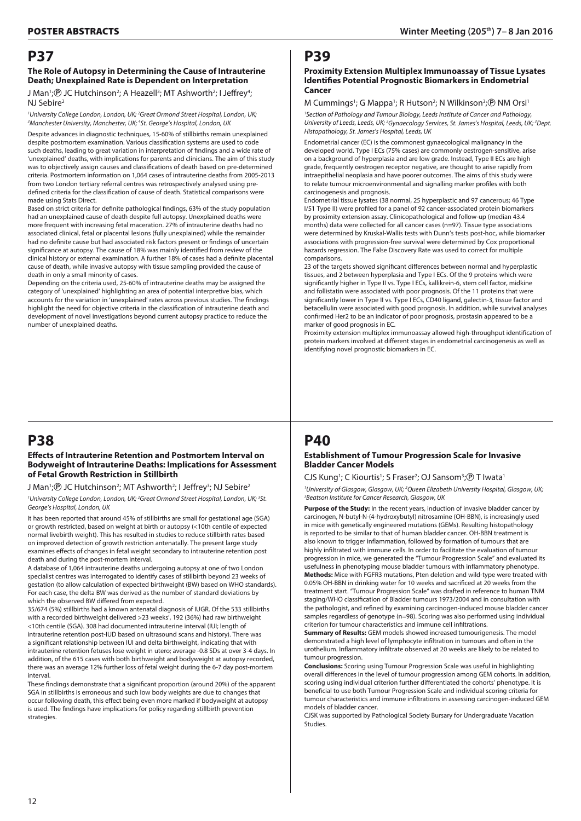# **The Role of Autopsy in Determining the Cause of Intrauterine Death; Unexplained Rate is Dependent on Interpretation**

J Man<sup>1</sup>;<sup>®</sup> JC Hutchinson<sup>2</sup>; A Heazell<sup>3</sup>; MT Ashworth<sup>2</sup>; I Jeffrey<sup>4</sup>; NJ Sebire2

<sup>1</sup>University College London, London, UK; <sup>2</sup>Great Ormond Street Hospital, London, UK;<br><sup>3</sup>Manchester University, Manchester, UK: <sup>4</sup>St, George's Hospital, London, UK *Manchester University, Manchester, UK; 4 St. George's Hospital, London, UK*

Despite advances in diagnostic techniques, 15-60% of stillbirths remain unexplained despite postmortem examination. Various classification systems are used to code such deaths, leading to great variation in interpretation of findings and a wide rate of 'unexplained' deaths, with implications for parents and clinicians. The aim of this study was to objectively assign causes and classifications of death based on pre-determined criteria. Postmortem information on 1,064 cases of intrauterine deaths from 2005-2013 from two London tertiary referral centres was retrospectively analysed using predefined criteria for the classification of cause of death. Statistical comparisons were made using Stats Direct.

Based on strict criteria for definite pathological findings, 63% of the study population had an unexplained cause of death despite full autopsy. Unexplained deaths were more frequent with increasing fetal maceration. 27% of intrauterine deaths had no associated clinical, fetal or placental lesions (fully unexplained) while the remainder had no definite cause but had associated risk factors present or findings of uncertain significance at autopsy. The cause of 18% was mainly identified from review of the clinical history or external examination. A further 18% of cases had a definite placental cause of death, while invasive autopsy with tissue sampling provided the cause of death in only a small minority of cases.

Depending on the criteria used, 25-60% of intrauterine deaths may be assigned the category of 'unexplained' highlighting an area of potential interpretive bias, which accounts for the variation in 'unexplained' rates across previous studies. The findings highlight the need for objective criteria in the classification of intrauterine death and development of novel investigations beyond current autopsy practice to reduce the number of unexplained deaths.

# **P38**

### **Effects of Intrauterine Retention and Postmortem Interval on Bodyweight of Intrauterine Deaths: Implications for Assessment of Fetal Growth Restriction in Stillbirth**

### J Man<sup>1</sup>;℗ JC Hutchinson<sup>2</sup>; MT Ashworth<sup>2</sup>; I Jeffrey<sup>3</sup>; NJ Sebire<sup>2</sup>

<sup>1</sup>University College London, London, UK; <sup>2</sup>Great Ormond Street Hospital, London, UK; <sup>3</sup>St. *George's Hospital, London, UK*

It has been reported that around 45% of stillbirths are small for gestational age (SGA) or growth restricted, based on weight at birth or autopsy (<10th centile of expected normal livebirth weight). This has resulted in studies to reduce stillbirth rates based on improved detection of growth restriction antenatally. The present large study examines effects of changes in fetal weight secondary to intrauterine retention post death and during the post-mortem interval.

A database of 1,064 intrauterine deaths undergoing autopsy at one of two London specialist centres was interrogated to identify cases of stillbirth beyond 23 weeks of gestation (to allow calculation of expected birthweight (BW) based on WHO standards). For each case, the delta BW was derived as the number of standard deviations by which the observed BW differed from expected.

35/674 (5%) stillbirths had a known antenatal diagnosis of IUGR. Of the 533 stillbirths with a recorded birthweight delivered >23 weeks', 192 (36%) had raw birthweight <10th centile (SGA). 308 had documented intrauterine interval (IUI; length of intrauterine retention post-IUD based on ultrasound scans and history). There was a significant relationship between IUI and delta birthweight, indicating that with intrauterine retention fetuses lose weight in utero; average -0.8 SDs at over 3-4 days. In addition, of the 615 cases with both birthweight and bodyweight at autopsy recorded, there was an average 12% further loss of fetal weight during the 6-7 day post-mortem interval.

These findings demonstrate that a significant proportion (around 20%) of the apparent SGA in stillbirths is erroneous and such low body weights are due to changes that occur following death, this effect being even more marked if bodyweight at autopsy is used. The findings have implications for policy regarding stillbirth prevention strategies.

# **P39**

### **Proximity Extension Multiplex Immunoassay of Tissue Lysates Identifies Potential Prognostic Biomarkers in Endometrial Cancer**

### M Cummings<sup>1</sup>; G Mappa<sup>1</sup>; R Hutson<sup>2</sup>; N Wilkinson<sup>3</sup>; ® NM Orsi<sup>1</sup>

*1 Section of Pathology and Tumour Biology, Leeds Institute of Cancer and Pathology,*  University of Leeds, Leeds, UK; <sup>2</sup>Gynaecology Services, St. James's Hospital, Leeds, UK; <sup>3</sup>Dept. *Histopathology, St. James's Hospital, Leeds, UK*

Endometrial cancer (EC) is the commonest gynaecological malignancy in the developed world. Type I ECs (75% cases) are commonly oestrogen-sensitive, arise on a background of hyperplasia and are low grade. Instead, Type II ECs are high grade, frequently oestrogen receptor negative, are thought to arise rapidly from intraepithelial neoplasia and have poorer outcomes. The aims of this study were to relate tumour microenvironmental and signalling marker profiles with both carcinogenesis and prognosis.

Endometrial tissue lysates (38 normal, 25 hyperplastic and 97 cancerous; 46 Type I/51 Type II) were profiled for a panel of 92 cancer-associated protein biomarkers by proximity extension assay. Clinicopathological and follow-up (median 43.4  $m$  months) data were collected for all cancer cases (n=97). Tissue type associations were determined by Kruskal-Wallis tests with Dunn's tests post-hoc, while biomarker associations with progression-free survival were determined by Cox proportional hazards regression. The False Discovery Rate was used to correct for multiple comparisons.

23 of the targets showed significant differences between normal and hyperplastic tissues, and 2 between hyperplasia and Type I ECs. Of the 9 proteins which were significantly higher in Type II vs. Type I ECs, kallikrein-6, stem cell factor, midkine and follistatin were associated with poor prognosis. Of the 11 proteins that were significantly lower in Type II vs. Type I ECs, CD40 ligand, galectin-3, tissue factor and betacellulin were associated with good prognosis. In addition, while survival analyses confirmed Her2 to be an indicator of poor prognosis, prostasin appeared to be a marker of good prognosis in EC.

Proximity extension multiplex immunoassay allowed high-throughput identification of protein markers involved at different stages in endometrial carcinogenesis as well as identifying novel prognostic biomarkers in EC.

# **P40**

### **Establishment of Tumour Progression Scale for Invasive Bladder Cancer Models**

### CJS Kung<sup>1</sup>; C Kiourtis<sup>1</sup>; S Fraser<sup>2</sup>; OJ Sansom<sup>3</sup>; <sup>®</sup> T Iwata<sup>1</sup>

<sup>1</sup>University of Glasgow, Glasgow, UK; <sup>2</sup>Queen Elizabeth University Hospital, Glasgow, UK;<br><sup>3</sup>Beatson Institute for Cancer Besearch, Glasgow, UK *Beatson Institute for Cancer Research, Glasgow, UK*

Purpose of the Study: In the recent years, induction of invasive bladder cancer by carcinogen, N-butyl-N-(4-hydroxybutyl) nitrosamine (OH-BBN), is increasingly used in mice with genetically engineered mutations (GEMs). Resulting histopathology is reported to be similar to that of human bladder cancer. OH-BBN treatment is also known to trigger inflammation, followed by formation of tumours that are highly infiltrated with immune cells. In order to facilitate the evaluation of tumour progression in mice, we generated the "Tumour Progression Scale" and evaluated its usefulness in phenotyping mouse bladder tumours with inflammatory phenotype. **Methods:** Mice with FGFR3 mutations, Pten deletion and wild-type were treated with 0.05% OH-BBN in drinking water for 10 weeks and sacrificed at 20 weeks from the treatment start. "Tumour Progression Scale" was drafted in reference to human TNM staging/WHO classification of Bladder tumours 1973/2004 and in consultation with the pathologist, and refined by examining carcinogen-induced mouse bladder cancer samples regardless of genotype (n=98). Scoring was also performed using individual criterion for tumour characteristics and immune cell infiltrations.

**Summary of Results:** GEM models showed increased tumourigenesis. The model demonstrated a high level of lymphocyte infiltration in tumours and often in the urothelium. Inflammatory infiltrate observed at 20 weeks are likely to be related to tumour progression.

**Conclusions:** Scoring using Tumour Progression Scale was useful in highlighting overall differences in the level of tumour progression among GEM cohorts. In addition, scoring using individual criterion further differentiated the cohorts' phenotype. It is beneficial to use both Tumour Progression Scale and individual scoring criteria for tumour characteristics and immune infiltrations in assessing carcinogen-induced GEM models of bladder cancer.

CJSK was supported by Pathological Society Bursary for Undergraduate Vacation Studies.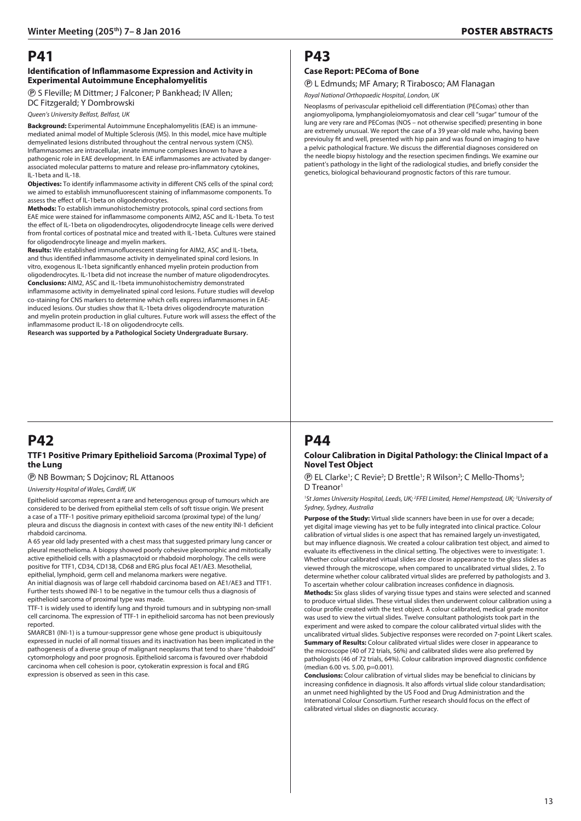### **Identification of Inflammasome Expression and Activity in Experimental Autoimmune Encephalomyelitis**

P S Fleville; M Dittmer; J Falconer; P Bankhead; IV Allen; DC Fitzgerald; Y Dombrowski

*Queen's University Belfast, Belfast, UK*

**Background:** Experimental Autoimmune Encephalomyelitis (EAE) is an immunemediated animal model of Multiple Sclerosis (MS). In this model, mice have multiple demyelinated lesions distributed throughout the central nervous system (CNS). Inflammasomes are intracellular, innate immune complexes known to have a pathogenic role in EAE development. In EAE inflammasomes are activated by dangerassociated molecular patterns to mature and release pro-inflammatory cytokines, IL-1beta and IL-18.

**Objectives:** To identify inflammasome activity in different CNS cells of the spinal cord; we aimed to establish immunofluorescent staining of inflammasome components. To assess the effect of IL-1beta on oligodendrocytes.

**Methods:** To establish immunohistochemistry protocols, spinal cord sections from EAE mice were stained for inflammasome components AIM2, ASC and IL-1beta. To test the effect of IL-1beta on oligodendrocytes, oligodendrocyte lineage cells were derived from frontal cortices of postnatal mice and treated with IL-1beta. Cultures were stained for oligodendrocyte lineage and myelin markers.

**Results:** We established immunofluorescent staining for AIM2, ASC and IL-1beta, and thus identified inflammasome activity in demyelinated spinal cord lesions. In vitro, exogenous IL-1beta significantly enhanced myelin protein production from oligodendrocytes. IL-1beta did not increase the number of mature oligodendrocytes. **Conclusions:** AIM2, ASC and IL-1beta immunohistochemistry demonstrated inflammasome activity in demyelinated spinal cord lesions. Future studies will develop co-staining for CNS markers to determine which cells express inflammasomes in EAEinduced lesions. Our studies show that IL-1beta drives oligodendrocyte maturation and myelin protein production in glial cultures. Future work will assess the effect of the inflammasome product IL-18 on oligodendrocyte cells.

**Research was supported by a Pathological Society Undergraduate Bursary.**

# **P43**

# **Case Report: PEComa of Bone**

P L Edmunds; MF Amary; R Tirabosco; AM Flanagan

*Royal National Orthopaedic Hospital, London, UK*

Neoplasms of perivascular epithelioid cell differentiation (PEComas) other than angiomyolipoma, lymphangioleiomyomatosis and clear cell "sugar" tumour of the lung are very rare and PEComas (NOS – not otherwise specified) presenting in bone are extremely unusual. We report the case of a 39 year-old male who, having been previoulsy fit and well, presented with hip pain and was found on imaging to have a pelvic pathological fracture. We discuss the differential diagnoses considered on the needle biopsy histology and the resection specimen findings. We examine our patient's pathology in the light of the radiological studies, and briefly consider the genetics, biological behaviourand prognostic factors of this rare tumour.

# **P44**

### **Colour Calibration in Digital Pathology: the Clinical Impact of a Novel Test Object**

**(B)** EL Clarke<sup>1</sup>; C Revie<sup>2</sup>; D Brettle<sup>1</sup>; R Wilson<sup>2</sup>; C Mello-Thoms<sup>3</sup>; D Treanor<sup>1</sup>

<sup>1</sup>St James University Hospital, Leeds, UK; <sup>2</sup>FFEI Limited, Hemel Hempstead, UK; <sup>3</sup>University of *Sydney, Sydney, Australia*

**Purpose of the Study:** Virtual slide scanners have been in use for over a decade; yet digital image viewing has yet to be fully integrated into clinical practice. Colour calibration of virtual slides is one aspect that has remained largely un-investigated, but may influence diagnosis. We created a colour calibration test object, and aimed to evaluate its effectiveness in the clinical setting. The objectives were to investigate: 1. Whether colour calibrated virtual slides are closer in appearance to the glass slides as viewed through the microscope, when compared to uncalibrated virtual slides, 2. To determine whether colour calibrated virtual slides are preferred by pathologists and 3. To ascertain whether colour calibration increases confidence in diagnosis.

**Methods:** Six glass slides of varying tissue types and stains were selected and scanned to produce virtual slides. These virtual slides then underwent colour calibration using a colour profile created with the test object. A colour calibrated, medical grade monitor was used to view the virtual slides. Twelve consultant pathologists took part in the experiment and were asked to compare the colour calibrated virtual slides with the uncalibrated virtual slides. Subjective responses were recorded on 7-point Likert scales. **Summary of Results:** Colour calibrated virtual slides were closer in appearance to the microscope (40 of 72 trials, 56%) and calibrated slides were also preferred by pathologists (46 of 72 trials, 64%). Colour calibration improved diagnostic confidence (median 6.00 vs. 5.00, p=0.001).

**Conclusions:** Colour calibration of virtual slides may be beneficial to clinicians by increasing confidence in diagnosis. It also affords virtual slide colour standardisation; an unmet need highlighted by the US Food and Drug Administration and the International Colour Consortium. Further research should focus on the effect of calibrated virtual slides on diagnostic accuracy.

# **P42**

### **TTF1 Positive Primary Epithelioid Sarcoma (Proximal Type) of the Lung**

P NB Bowman; S Dojcinov; RL Attanoos

*University Hospital of Wales, Cardiff, UK*

Epithelioid sarcomas represent a rare and heterogenous group of tumours which are considered to be derived from epithelial stem cells of soft tissue origin. We present a case of a TTF-1 positive primary epithelioid sarcoma (proximal type) of the lung/ pleura and discuss the diagnosis in context with cases of the new entity INI-1 deficient rhabdoid carcinoma.

A 65 year old lady presented with a chest mass that suggested primary lung cancer or pleural mesothelioma. A biopsy showed poorly cohesive pleomorphic and mitotically active epithelioid cells with a plasmacytoid or rhabdoid morphology. The cells were positive for TTF1, CD34, CD138, CD68 and ERG plus focal AE1/AE3. Mesothelial, epithelial, lymphoid, germ cell and melanoma markers were negative.

An initial diagnosis was of large cell rhabdoid carcinoma based on AE1/AE3 and TTF1. Further tests showed INI-1 to be negative in the tumour cells thus a diagnosis of epithelioid sarcoma of proximal type was made.

TTF-1 is widely used to identify lung and thyroid tumours and in subtyping non-small cell carcinoma. The expression of TTF-1 in epithelioid sarcoma has not been previously reported.

SMARCB1 (INI-1) is a tumour-suppressor gene whose gene product is ubiquitously expressed in nuclei of all normal tissues and its inactivation has been implicated in the pathogenesis of a diverse group of malignant neoplasms that tend to share "rhabdoid" cytomorphology and poor prognosis. Epithelioid sarcoma is favoured over rhabdoid carcinoma when cell cohesion is poor, cytokeratin expression is focal and ERG expression is observed as seen in this case.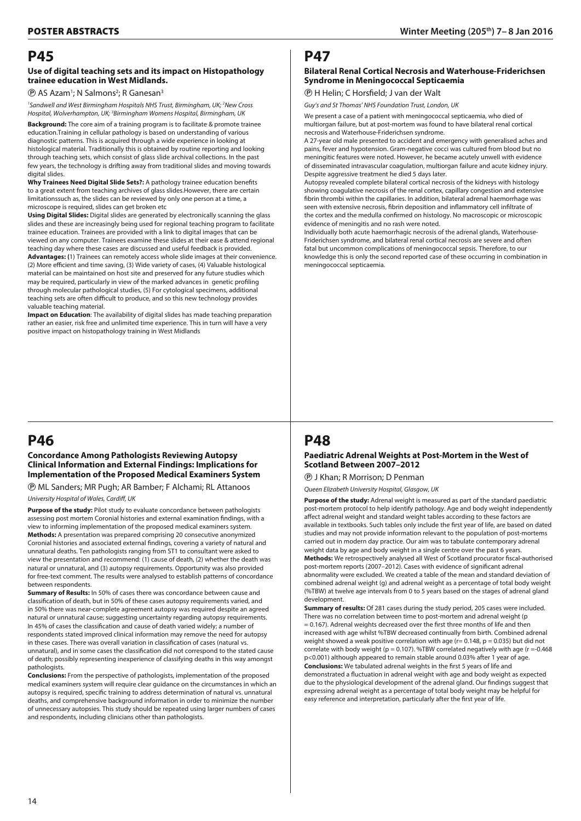### **Use of digital teaching sets and its impact on Histopathology trainee education in West Midlands.**

**D AS Azam<sup>1</sup>; N Salmons<sup>2</sup>; R Ganesan<sup>3</sup>** 

<sup>1</sup> Sandwell and West Birmingham Hospitals NHS Trust, Birmingham, UK;<sup>2</sup> New Cross *Hospital, Wolverhampton, UK; 3 Birmingham Womens Hospital, Birmingham, UK*

**Background:** The core aim of a training program is to facilitate & promote trainee education.Training in cellular pathology is based on understanding of various diagnostic patterns. This is acquired through a wide experience in looking at histological material. Traditionally this is obtained by routine reporting and looking through teaching sets, which consist of glass slide archival collections. In the past few years, the technology is drifting away from traditional slides and moving towards digital slides.

**Why Trainees Need Digital Slide Sets?:** A pathology trainee education benefits to a great extent from teaching archives of glass slides.However, there are certain limitationssuch as, the slides can be reviewed by only one person at a time, a microscope is required, slides can get broken etc

**Using Digital Slides:** Digital slides are generated by electronically scanning the glass slides and these are increasingly being used for regional teaching program to facilitate trainee education. Trainees are provided with a link to digital images that can be viewed on any computer. Trainees examine these slides at their ease & attend regional teaching day where these cases are discussed and useful feedback is provided. **Advantages: (**1) Trainees can remotely access whole slide images at their convenience. (2) More efficient and time saving, (3) Wide variety of cases, (4) Valuable histological material can be maintained on host site and preserved for any future studies which may be required, particularly in view of the marked advances in genetic profiling through molecular pathological studies, (5) For cytological specimens, additional teaching sets are often difficult to produce, and so this new technology provides valuable teaching material.

**Impact on Education**: The availability of digital slides has made teaching preparation rather an easier, risk free and unlimited time experience. This in turn will have a very positive impact on histopathology training in West Midlands

# **P46**

### **Concordance Among Pathologists Reviewing Autopsy Clinical Information and External Findings: Implications for Implementation of the Proposed Medical Examiners System**

P ML Sanders; MR Pugh; AR Bamber; F Alchami; RL Attanoos *University Hospital of Wales, Cardiff, UK*

**Purpose of the study:** Pilot study to evaluate concordance between pathologists assessing post mortem Coronial histories and external examination findings, with a view to informing implementation of the proposed medical examiners system. **Methods:** A presentation was prepared comprising 20 consecutive anonymized Coronial histories and associated external findings, covering a variety of natural and unnatural deaths. Ten pathologists ranging from ST1 to consultant were asked to view the presentation and recommend: (1) cause of death, (2) whether the death was natural or unnatural, and (3) autopsy requirements. Opportunity was also provided for free-text comment. The results were analysed to establish patterns of concordance between respondents.

**Summary of Results:** In 50% of cases there was concordance between cause and classification of death, but in 50% of these cases autopsy requirements varied, and in 50% there was near-complete agreement autopsy was required despite an agreed natural or unnatural cause; suggesting uncertainty regarding autopsy requirements. In 45% of cases the classification and cause of death varied widely; a number of respondents stated improved clinical information may remove the need for autopsy in these cases. There was overall variation in classification of cases (natural vs. unnatural), and in some cases the classification did not correspond to the stated cause of death; possibly representing inexperience of classifying deaths in this way amongst pathologists.

**Conclusions:** From the perspective of pathologists, implementation of the proposed medical examiners system will require clear guidance on the circumstances in which an autopsy is required, specific training to address determination of natural vs. unnatural deaths, and comprehensive background information in order to minimize the number of unnecessary autopsies. This study should be repeated using larger numbers of cases and respondents, including clinicians other than pathologists.

# **P47**

### **Bilateral Renal Cortical Necrosis and Waterhouse-Friderichsen Syndrome in Meningococcal Septicaemia**

P H Helin; C Horsfield; J van der Walt

*Guy's and St Thomas' NHS Foundation Trust, London, UK*

We present a case of a patient with meningococcal septicaemia, who died of multiorgan failure, but at post-mortem was found to have bilateral renal cortical necrosis and Waterhouse-Friderichsen syndrome.

A 27-year old male presented to accident and emergency with generalised aches and pains, fever and hypotension. Gram-negative cocci was cultured from blood but no meningitic features were noted. However, he became acutely unwell with evidence of disseminated intravascular coagulation, multiorgan failure and acute kidney injury. Despite aggressive treatment he died 5 days later.

Autopsy revealed complete bilateral cortical necrosis of the kidneys with histology showing coagulative necrosis of the renal cortex, capillary congestion and extensive fibrin thrombi within the capillaries. In addition, bilateral adrenal haemorrhage was seen with extensive necrosis, fibrin deposition and inflammatory cell infiltrate of the cortex and the medulla confirmed on histology. No macroscopic or microscopic evidence of meningitis and no rash were noted.

Individually both acute haemorrhagic necrosis of the adrenal glands, Waterhouse-Friderichsen syndrome, and bilateral renal cortical necrosis are severe and often fatal but uncommon complications of meningococcal sepsis. Therefore, to our knowledge this is only the second reported case of these occurring in combination in meningococcal septicaemia.

# **P48**

# **Paediatric Adrenal Weights at Post-Mortem in the West of Scotland Between 2007–2012**

P J Khan; R Morrison; D Penman

*Queen Elizabeth University Hospital, Glasgow, UK*

**Purpose of the study:** Adrenal weight is measured as part of the standard paediatric post-mortem protocol to help identify pathology. Age and body weight independently affect adrenal weight and standard weight tables according to these factors are available in textbooks. Such tables only include the first year of life, are based on dated studies and may not provide information relevant to the population of post-mortems carried out in modern day practice. Our aim was to tabulate contemporary adrenal weight data by age and body weight in a single centre over the past 6 years. **Methods:** We retrospectively analysed all West of Scotland procurator fiscal-authorised post-mortem reports (2007–2012). Cases with evidence of significant adrenal abnormality were excluded. We created a table of the mean and standard deviation of combined adrenal weight (g) and adrenal weight as a percentage of total body weight (%TBW) at twelve age intervals from 0 to 5 years based on the stages of adrenal gland development.

**Summary of results:** Of 281 cases during the study period, 205 cases were included. There was no correlation between time to post-mortem and adrenal weight (p  $= 0.167$ ). Adrenal weights decreased over the first three months of life and then increased with age whilst %TBW decreased continually from birth. Combined adrenal weight showed a weak positive correlation with age ( $r = 0.148$ , p = 0.035) but did not correlate with body weight (p = 0.107). %TBW correlated negatively with age (r = -0.468 p<0.001) although appeared to remain stable around 0.03% after 1 year of age. **Conclusions:** We tabulated adrenal weights in the first 5 years of life and

demonstrated a fluctuation in adrenal weight with age and body weight as expected due to the physiological development of the adrenal gland. Our findings suggest that expressing adrenal weight as a percentage of total body weight may be helpful for easy reference and interpretation, particularly after the first year of life.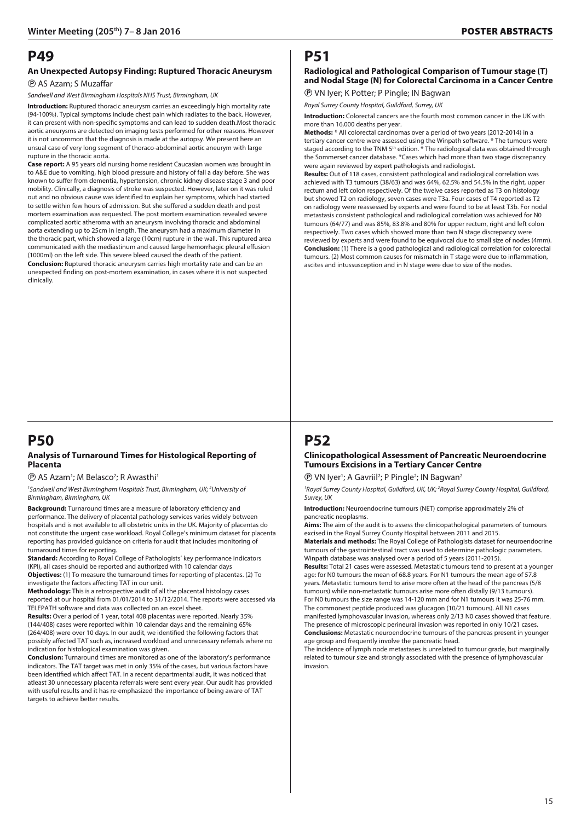# **An Unexpected Autopsy Finding: Ruptured Thoracic Aneurysm**

P AS Azam; S Muzaffar

*Sandwell and West Birmingham Hospitals NHS Trust, Birmingham, UK*

**Introduction:** Ruptured thoracic aneurysm carries an exceedingly high mortality rate (94-100%). Typical symptoms include chest pain which radiates to the back. However, it can present with non-specific symptoms and can lead to sudden death.Most thoracic aortic aneurysms are detected on imaging tests performed for other reasons. However it is not uncommon that the diagnosis is made at the autopsy. We present here an unsual case of very long segment of thoraco-abdominal aortic aneurym with large rupture in the thoracic aorta.

**Case report:** A 95 years old nursing home resident Caucasian women was brought in to A&E due to vomiting, high blood pressure and history of fall a day before. She was known to suffer from dementia, hypertension, chronic kidney disease stage 3 and poor mobility. Clinically, a diagnosis of stroke was suspected. However, later on it was ruled out and no obvious cause was identified to explain her symptoms, which had started to settle within few hours of admission. But she suffered a sudden death and post mortem examination was requested. The post mortem examination revealed severe complicated aortic atheroma with an aneurysm involving thoracic and abdominal aorta extending up to 25cm in length. The aneurysm had a maximum diameter in the thoracic part, which showed a large (10cm) rupture in the wall. This ruptured area communicated with the mediastinum and caused large hemorrhagic pleural effusion (1000ml) on the left side. This severe bleed caused the death of the patient. **Conclusion:** Ruptured thoracic aneurysm carries high mortality rate and can be an unexpected finding on post-mortem examination, in cases where it is not suspected clinically.

# **P50**

### **Analysis of Turnaround Times for Histological Reporting of Placenta**

### **(B)** AS Azam<sup>1</sup>; M Belasco<sup>2</sup>; R Awasthi<sup>1</sup>

<sup>1</sup> Sandwell and West Birmingham Hospitals Trust, Birmingham, UK;<sup>2</sup> University of *Birmingham, Birmingham, UK*

**Background:** Turnaround times are a measure of laboratory efficiency and performance. The delivery of placental pathology services varies widely between hospitals and is not available to all obstetric units in the UK. Majority of placentas do not constitute the urgent case workload. Royal College's minimum dataset for placenta reporting has provided guidance on criteria for audit that includes monitoring of turnaround times for reporting.

**Standard:** According to Royal College of Pathologists' key performance indicators (KPI), all cases should be reported and authorized with 10 calendar days **Objectives:** (1) To measure the turnaround times for reporting of placentas. (2) To investigate the factors affecting TAT in our unit.

**Methodology:** This is a retrospective audit of all the placental histology cases reported at our hospital from 01/01/2014 to 31/12/2014. The reports were accessed via TELEPATH software and data was collected on an excel sheet.

**Results:** Over a period of 1 year, total 408 placentas were reported. Nearly 35% (144/408) cases were reported within 10 calendar days and the remaining 65% (264/408) were over 10 days. In our audit, we identified the following factors that possibly affected TAT such as, increased workload and unnecessary referrals where no indication for histological examination was given.

**Conclusion:** Turnaround times are monitored as one of the laboratory's performance indicators. The TAT target was met in only 35% of the cases, but various factors have been identified which affect TAT. In a recent departmental audit, it was noticed that atleast 30 unnecessary placenta referrals were sent every year. Our audit has provided with useful results and it has re-emphasized the importance of being aware of TAT targets to achieve better results.

# **P51**

# **Radiological and Pathological Comparison of Tumour stage (T) and Nodal Stage (N) for Colorectal Carcinoma in a Cancer Centre**

P VN Iyer; K Potter; P Pingle; IN Bagwan

*Royal Surrey County Hospital, Guildford, Surrey, UK*

**Introduction:** Colorectal cancers are the fourth most common cancer in the UK with more than 16,000 deaths per year.

**Methods:** \* All colorectal carcinomas over a period of two years (2012-2014) in a tertiary cancer centre were assessed using the Winpath software. \* The tumours were staged according to the TNM 5<sup>th</sup> edition. \* The radiological data was obtained through the Sommerset cancer database. \*Cases which had more than two stage discrepancy were again reviewed by expert pathologists and radiologist.

**Results:** Out of 118 cases, consistent pathological and radiological correlation was achieved with T3 tumours (38/63) and was 64%, 62.5% and 54.5% in the right, upper rectum and left colon respectively. Of the twelve cases reported as T3 on histology but showed T2 on radiology, seven cases were T3a. Four cases of T4 reported as T2 on radiology were reassessed by experts and were found to be at least T3b. For nodal metastasis consistent pathological and radiological correlation was achieved for N0 tumours (64/77) and was 85%, 83.8% and 80% for upper rectum, right and left colon respectively. Two cases which showed more than two N stage discrepancy were reviewed by experts and were found to be equivocal due to small size of nodes (4mm). **Conclusion:** (1) There is a good pathological and radiological correlation for colorectal tumours. (2) Most common causes for mismatch in T stage were due to inflammation, ascites and intussusception and in N stage were due to size of the nodes.

# **P52**

# **Clinicopathological Assessment of Pancreatic Neuroendocrine Tumours Excisions in a Tertiary Cancer Centre**

**(B)** VN Iyer<sup>1</sup>; A Gavriil<sup>2</sup>; P Pingle<sup>2</sup>; IN Bagwan<sup>2</sup>

<sup>1</sup> Royal Surrey County Hospital, Guildford, UK, UK; <sup>2</sup> Royal Surrey County Hospital, Guildford, *Surrey, UK*

**Introduction:** Neuroendocrine tumours (NET) comprise approximately 2% of pancreatic neoplasms.

**Aims:** The aim of the audit is to assess the clinicopathological parameters of tumours excised in the Royal Surrey County Hospital between 2011 and 2015.

**Materials and methods:** The Royal College of Pathologists dataset for neuroendocrine tumours of the gastrointestinal tract was used to determine pathologic parameters. Winpath database was analysed over a period of 5 years (2011-2015).

**Results:** Total 21 cases were assessed. Metastatic tumours tend to present at a younger age: for N0 tumours the mean of 68.8 years. For N1 tumours the mean age of 57.8 years. Metastatic tumours tend to arise more often at the head of the pancreas (5/8 tumours) while non-metastatic tumours arise more often distally (9/13 tumours). For N0 tumours the size range was 14-120 mm and for N1 tumours it was 25-76 mm. The commonest peptide produced was glucagon (10/21 tumours). All N1 cases manifested lymphovascular invasion, whereas only 2/13 N0 cases showed that feature. The presence of microscopic perineural invasion was reported in only 10/21 cases. **Conclusions:** Metastatic neuroendocrine tumours of the pancreas present in younger age group and frequently involve the pancreatic head.

The incidence of lymph node metastases is unrelated to tumour grade, but marginally related to tumour size and strongly associated with the presence of lymphovascular invasion.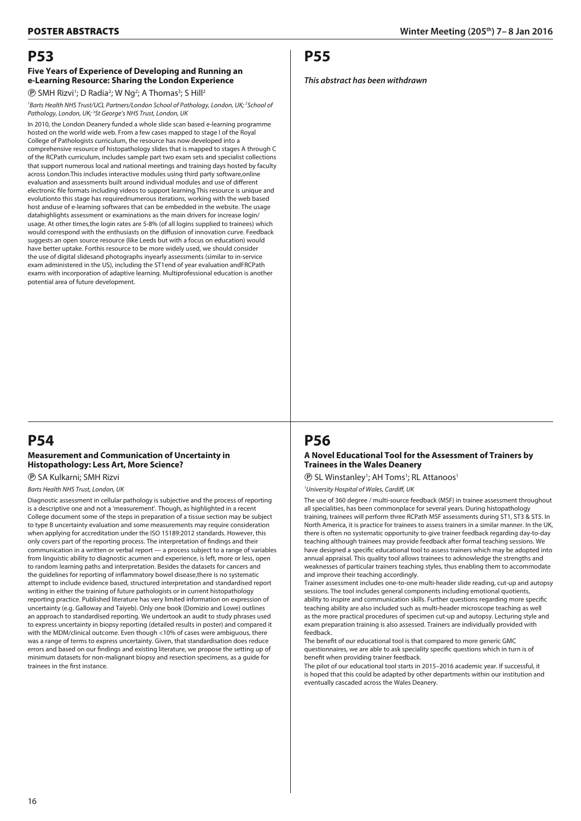### **Five Years of Experience of Developing and Running an e-Learning Resource: Sharing the London Experience**

 $\textcircled{P}$  SMH Rizvi<sup>1</sup>; D Radia<sup>2</sup>; W Ng<sup>2</sup>; A Thomas<sup>3</sup>; S Hill<sup>2</sup>

<sup>1</sup> Barts Health NHS Trust/UCL Partners/London School of Pathology, London, UK; <sup>2</sup> School of *Pathology, London, UK; 3 St George's NHS Trust, London, UK*

In 2010, the London Deanery funded a whole slide scan based e-learning programme hosted on the world wide web. From a few cases mapped to stage I of the Royal College of Pathologists curriculum, the resource has now developed into a comprehensive resource of histopathology slides that is mapped to stages A through C of the RCPath curriculum, includes sample part two exam sets and specialist collections that support numerous local and national meetings and training days hosted by faculty across London.This includes interactive modules using third party software,online evaluation and assessments built around individual modules and use of different electronic file formats including videos to support learning.This resource is unique and evolutionto this stage has requirednumerous iterations, working with the web based host anduse of e-learning softwares that can be embedded in the website. The usage datahighlights assessment or examinations as the main drivers for increase login/ usage. At other times,the login rates are 5-8% (of all logins supplied to trainees) which would correspond with the enthusiasts on the diffusion of innovation curve. Feedback suggests an open source resource (like Leeds but with a focus on education) would have better uptake. Forthis resource to be more widely used, we should consider the use of digital slidesand photographs inyearly assessments (similar to in-service exam administered in the US), including the ST1end of year evaluation andFRCPath exams with incorporation of adaptive learning. Multiprofessional education is another potential area of future development.

# **P55**

*This abstract has been withdrawn*

# **P54**

# **Measurement and Communication of Uncertainty in Histopathology: Less Art, More Science?**

P SA Kulkarni; SMH Rizvi

### *Barts Health NHS Trust, London, UK*

Diagnostic assessment in cellular pathology is subjective and the process of reporting is a descriptive one and not a 'measurement'. Though, as highlighted in a recent College document some of the steps in preparation of a tissue section may be subject to type B uncertainty evaluation and some measurements may require consideration when applying for accreditation under the ISO 15189:2012 standards. However, this only covers part of the reporting process. The interpretation of findings and their communication in a written or verbal report — a process subject to a range of variables from linguistic ability to diagnostic acumen and experience, is left, more or less, open to random learning paths and interpretation. Besides the datasets for cancers and the guidelines for reporting of inflammatory bowel disease,there is no systematic attempt to include evidence based, structured interpretation and standardised report writing in either the training of future pathologists or in current histopathology reporting practice. Published literature has very limited information on expression of uncertainty (e.g. Galloway and Taiyeb). Only one book (Domizio and Lowe) outlines an approach to standardised reporting. We undertook an audit to study phrases used to express uncertainty in biopsy reporting (detailed results in poster) and compared it with the MDM/clinical outcome. Even though <10% of cases were ambiguous, there was a range of terms to express uncertainty. Given, that standardisation does reduce errors and based on our findings and existing literature, we propose the setting up of minimum datasets for non-malignant biopsy and resection specimens, as a guide for trainees in the first instance.

# **P56**

# **A Novel Educational Tool for the Assessment of Trainers by Trainees in the Wales Deanery**

 $\circledR$  **SL Winstanley<sup>1</sup>; AH Toms<sup>1</sup>; RL Attanoos<sup>1</sup>** 

*1 University Hospital of Wales, Cardiff, UK*

The use of 360 degree / multi-source feedback (MSF) in trainee assessment throughout all specialities, has been commonplace for several years. During histopathology training, trainees will perform three RCPath MSF assessments during ST1, ST3 & ST5. In North America, it is practice for trainees to assess trainers in a similar manner. In the UK, there is often no systematic opportunity to give trainer feedback regarding day-to-day teaching although trainees may provide feedback after formal teaching sessions. We have designed a specific educational tool to assess trainers which may be adopted into annual appraisal. This quality tool allows trainees to acknowledge the strengths and weaknesses of particular trainers teaching styles, thus enabling them to accommodate and improve their teaching accordingly.

Trainer assessment includes one-to-one multi-header slide reading, cut-up and autopsy sessions. The tool includes general components including emotional quotients, ability to inspire and communication skills. Further questions regarding more specific teaching ability are also included such as multi-header microscope teaching as well as the more practical procedures of specimen cut-up and autopsy. Lecturing style and exam preparation training is also assessed. Trainers are individually provided with feedback.

The benefit of our educational tool is that compared to more generic GMC questionnaires, we are able to ask speciality specific questions which in turn is of benefit when providing trainer feedback.

The pilot of our educational tool starts in 2015–2016 academic year. If successful, it is hoped that this could be adapted by other departments within our institution and eventually cascaded across the Wales Deanery.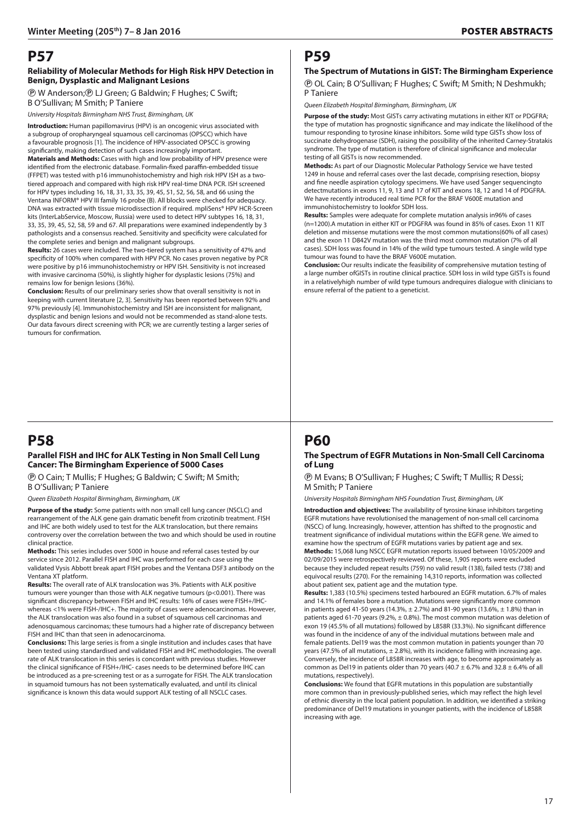### **Reliability of Molecular Methods for High Risk HPV Detection in Benign, Dysplastic and Malignant Lesions**

P W Anderson;P LJ Green; G Baldwin; F Hughes; C Swift; B O'Sullivan; M Smith; P Taniere

*University Hospitals Birmingham NHS Trust, Birmingham, UK*

**Introduction:** Human papillomavirus (HPV) is an oncogenic virus associated with a subgroup of oropharyngeal squamous cell carcinomas (OPSCC) which have a favourable prognosis [1]. The incidence of HPV-associated OPSCC is growing significantly, making detection of such cases increasingly important.

**Materials and Methods:** Cases with high and low probability of HPV presence were identified from the electronic database. Formalin-fixed paraffin-embedded tissue (FFPET) was tested with p16 immunohistochemistry and high risk HPV ISH as a twotiered approach and compared with high risk HPV real-time DNA PCR. ISH screened for HPV types including 16, 18, 31, 33, 35, 39, 45, 51, 52, 56, 58, and 66 using the Ventana INFORM® HPV III family 16 probe (B). All blocks were checked for adequacy. DNA was extracted with tissue microdissection if required. mpliSens® HPV HCR-Screen kits (InterLabService, Moscow, Russia) were used to detect HPV subtypes 16, 18, 31, 33, 35, 39, 45, 52, 58, 59 and 67. All preparations were examined independently by 3 pathologists and a consensus reached. Sensitivity and specificity were calculated for the complete series and benign and malignant subgroups.

**Results:** 26 cases were included. The two-tiered system has a sensitivity of 47% and specificity of 100% when compared with HPV PCR. No cases proven negative by PCR were positive by p16 immunohistochemistry or HPV ISH. Sensitivity is not increased with invasive carcinoma (50%), is slightly higher for dysplastic lesions (75%) and remains low for benign lesions (36%).

**Conclusion:** Results of our preliminary series show that overall sensitivity is not in keeping with current literature [2, 3]. Sensitivity has been reported between 92% and 97% previously [4]. Immunohistochemistry and ISH are inconsistent for malignant, dysplastic and benign lesions and would not be recommended as stand-alone tests. Our data favours direct screening with PCR; we are currently testing a larger series of tumours for confirmation.

# **P58**

### **Parallel FISH and IHC for ALK Testing in Non Small Cell Lung Cancer: The Birmingham Experience of 5000 Cases**

P O Cain; T Mullis; F Hughes; G Baldwin; C Swift; M Smith; B O'Sullivan; P Taniere

*Queen Elizabeth Hospital Birmingham, Birmingham, UK*

**Purpose of the study:** Some patients with non small cell lung cancer (NSCLC) and rearrangement of the ALK gene gain dramatic benefit from crizotinib treatment. FISH and IHC are both widely used to test for the ALK translocation, but there remains controversy over the correlation between the two and which should be used in routine clinical practice.

**Methods:** This series includes over 5000 in house and referral cases tested by our service since 2012. Parallel FISH and IHC was performed for each case using the validated Vysis Abbott break apart FISH probes and the Ventana D5F3 antibody on the Ventana XT platform.

**Results:** The overall rate of ALK translocation was 3%. Patients with ALK positive tumours were younger than those with ALK negative tumours (p<0.001). There was significant discrepancy between FISH and IHC results: 16% of cases were FISH+/IHCwhereas <1% were FISH-/IHC+. The majority of cases were adenocarcinomas. However, the ALK translocation was also found in a subset of squamous cell carcinomas and adenosquamous carcinomas; these tumours had a higher rate of discrepancy between FISH and IHC than that seen in adenocarcinoma.

**Conclusions:** This large series is from a single institution and includes cases that have been tested using standardised and validated FISH and IHC methodologies. The overall rate of ALK translocation in this series is concordant with previous studies. However the clinical significance of FISH+/IHC- cases needs to be determined before IHC can be introduced as a pre-screening test or as a surrogate for FISH. The ALK translocation in squamoid tumours has not been systematically evaluated, and until its clinical significance is known this data would support ALK testing of all NSCLC cases.

# **P59**

### **The Spectrum of Mutations in GIST: The Birmingham Experience**

P OL Cain; B O'Sullivan; F Hughes; C Swift; M Smith; N Deshmukh; P Taniere

*Queen Elizabeth Hospital Birmingham, Birmingham, UK*

**Purpose of the study:** Most GISTs carry activating mutations in either KIT or PDGFRA; the type of mutation has prognostic significance and may indicate the likelihood of the tumour responding to tyrosine kinase inhibitors. Some wild type GISTs show loss of succinate dehydrogenase (SDH), raising the possibility of the inherited Carney-Stratakis syndrome. The type of mutation is therefore of clinical significance and molecular testing of all GISTs is now recommended.

**Methods:** As part of our Diagnostic Molecular Pathology Service we have tested 1249 in house and referral cases over the last decade, comprising resection, biopsy and fine needle aspiration cytology specimens. We have used Sanger sequencingto detectmutations in exons 11, 9, 13 and 17 of KIT and exons 18, 12 and 14 of PDGFRA. We have recently introduced real time PCR for the BRAF V600E mutation and immunohistochemistry to lookfor SDH loss.

**Results:** Samples were adequate for complete mutation analysis in96% of cases (n=1200).A mutation in either KIT or PDGFRA was found in 85% of cases. Exon 11 KIT deletion and missense mutations were the most common mutations(60% of all cases) and the exon 11 D842V mutation was the third most common mutation (7% of all cases). SDH loss was found in 14% of the wild type tumours tested. A single wild type tumour was found to have the BRAF V600E mutation.

**Conclusion:** Our results indicate the feasibility of comprehensive mutation testing of a large number ofGISTs in routine clinical practice. SDH loss in wild type GISTs is found in a relativelyhigh number of wild type tumours andrequires dialogue with clinicians to ensure referral of the patient to a geneticist.

# **P60**

### **The Spectrum of EGFR Mutations in Non-Small Cell Carcinoma of Lung**

P M Evans; B O'Sullivan; F Hughes; C Swift; T Mullis; R Dessi; M Smith; P Taniere

*University Hospitals Birmingham NHS Foundation Trust, Birmingham, UK*

**Introduction and objectives:** The availability of tyrosine kinase inhibitors targeting EGFR mutations have revolutionised the management of non-small cell carcinoma (NSCC) of lung. Increasingly, however, attention has shifted to the prognostic and treatment significance of individual mutations within the EGFR gene. We aimed to examine how the spectrum of EGFR mutations varies by patient age and sex. **Methods:** 15,068 lung NSCC EGFR mutation reports issued between 10/05/2009 and 02/09/2015 were retrospectively reviewed. Of these, 1,905 reports were excluded because they included repeat results (759) no valid result (138), failed tests (738) and equivocal results (270). For the remaining 14,310 reports, information was collected about patient sex, patient age and the mutation type.

**Results:** 1,383 (10.5%) specimens tested harboured an EGFR mutation. 6.7% of males and 14.1% of females bore a mutation. Mutations were significantly more common in patients aged 41-50 years (14.3%, ± 2.7%) and 81-90 years (13.6%, ± 1.8%) than in patients aged 61-70 years (9.2%, ± 0.8%). The most common mutation was deletion of exon 19 (45.5% of all mutations) followed by L858R (33.3%). No significant difference was found in the incidence of any of the individual mutations between male and female patients. Del19 was the most common mutation in patients younger than 70 years (47.5% of all mutations,  $\pm$  2.8%), with its incidence falling with increasing age. Conversely, the incidence of L858R increases with age, to become approximately as common as Del19 in patients older than 70 years (40.7  $\pm$  6.7% and 32.8  $\pm$  6.4% of all mutations, respectively).

**Conclusions:** We found that EGFR mutations in this population are substantially more common than in previously-published series, which may reflect the high level of ethnic diversity in the local patient population. In addition, we identified a striking predominance of Del19 mutations in younger patients, with the incidence of L858R increasing with age.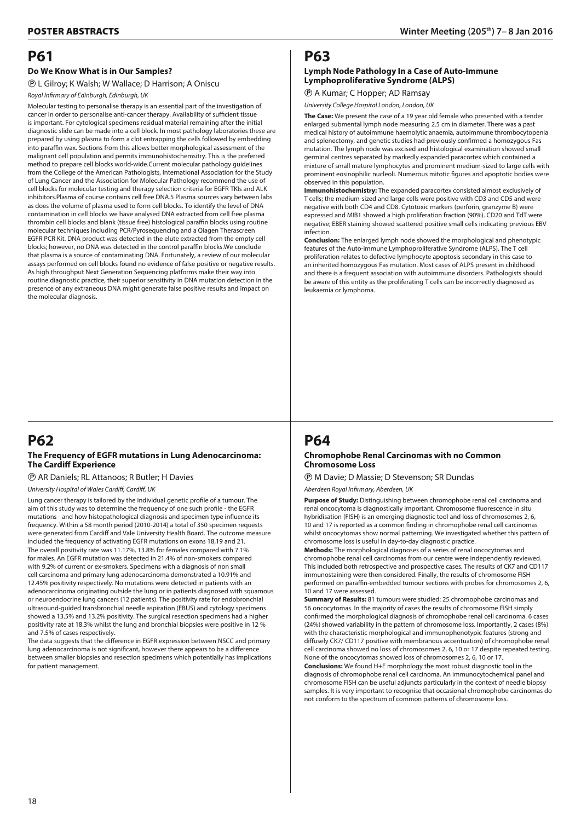# **P61 Do We Know What is in Our Samples?**

P L Gilroy; K Walsh; W Wallace; D Harrison; A Oniscu *Royal Infirmary of Edinburgh, Edinburgh, UK*

Molecular testing to personalise therapy is an essential part of the investigation of cancer in order to personalise anti-cancer therapy. Availability of sufficient tissue is important. For cytological specimens residual material remaining after the initial diagnostic slide can be made into a cell block. In most pathology laboratories these are prepared by using plasma to form a clot entrapping the cells followed by embedding into paraffin wax. Sections from this allows better morphological assessment of the malignant cell population and permits immunohistochemsitry. This is the preferred method to prepare cell blocks world-wide.Current molecular pathology guidelines from the College of the American Pathologists, International Association for the Study of Lung Cancer and the Association for Molecular Pathology recommend the use of cell blocks for molecular testing and therapy selection criteria for EGFR TKIs and ALK inhibitors.Plasma of course contains cell free DNA.5 Plasma sources vary between labs as does the volume of plasma used to form cell blocks. To identify the level of DNA contamination in cell blocks we have analysed DNA extracted from cell free plasma thrombin cell blocks and blank (tissue free) histological paraffin blocks using routine molecular techniques including PCR/Pyrosequencing and a Qiagen Therascreen EGFR PCR Kit. DNA product was detected in the elute extracted from the empty cell blocks; however, no DNA was detected in the control paraffin blocks.We conclude that plasma is a source of contaminating DNA. Fortunately, a review of our molecular assays performed on cell blocks found no evidence of false positive or negative results. As high throughput Next Generation Sequencing platforms make their way into routine diagnostic practice, their superior sensitivity in DNA mutation detection in the presence of any extraneous DNA might generate false positive results and impact on the molecular diagnosis.

# **P62 The Frequency of EGFR mutations in Lung Adenocarcinoma: The Cardiff Experience**

P AR Daniels; RL Attanoos; R Butler; H Davies

*University Hospital of Wales Cardiff, Cardiff, UK*

Lung cancer therapy is tailored by the individual genetic profile of a tumour. The aim of this study was to determine the frequency of one such profile - the EGFR mutations - and how histopathological diagnosis and specimen type influence its frequency. Within a 58 month period (2010-2014) a total of 350 specimen requests were generated from Cardiff and Vale University Health Board. The outcome measure included the frequency of activating EGFR mutations on exons 18,19 and 21. The overall positivity rate was 11.17%, 13.8% for females compared with 7.1% for males. An EGFR mutation was detected in 21.4% of non-smokers compared with 9.2% of current or ex-smokers. Specimens with a diagnosis of non small cell carcinoma and primary lung adenocarcinoma demonstrated a 10.91% and 12.45% positivity respectively. No mutations were detected in patients with an adenocarcinoma originating outside the lung or in patients diagnosed with squamous or neuroendocrine lung cancers (12 patients). The positivity rate for endobronchial ultrasound-guided transbronchial needle aspiration (EBUS) and cytology specimens showed a 13.5% and 13.2% positivity. The surgical resection specimens had a higher positivity rate at 18.3% whilst the lung and bronchial biopsies were positive in 12 % and 7.5% of cases respectively.

The data suggests that the difference in EGFR expression between NSCC and primary lung adenocarcinoma is not significant, however there appears to be a difference between smaller biopsies and resection specimens which potentially has implications for patient management.

# **P63**

### **Lymph Node Pathology In a Case of Auto-Immune Lymphoproliferative Syndrome (ALPS)**

P A Kumar; C Hopper; AD Ramsay

*University College Hospital London, London, UK*

**The Case:** We present the case of a 19 year old female who presented with a tender enlarged submental lymph node measuring 2.5 cm in diameter. There was a past medical history of autoimmune haemolytic anaemia, autoimmune thrombocytopenia and splenectomy, and genetic studies had previously confirmed a homozygous Fas mutation. The lymph node was excised and histological examination showed small germinal centres separated by markedly expanded paracortex which contained a mixture of small mature lymphocytes and prominent medium-sized to large cells with prominent eosinophilic nucleoli. Numerous mitotic figures and apoptotic bodies were observed in this population.

**Immunohistochemistry:** The expanded paracortex consisted almost exclusively of T cells; the medium-sized and large cells were positive with CD3 and CD5 and were negative with both CD4 and CD8. Cytotoxic markers (perforin, granzyme B) were expressed and MIB1 showed a high proliferation fraction (90%). CD20 and TdT were negative; EBER staining showed scattered positive small cells indicating previous EBV infection.

**Conclusion:** The enlarged lymph node showed the morphological and phenotypic features of the Auto-immune Lymphoproliferative Syndrome (ALPS). The T cell proliferation relates to defective lymphocyte apoptosis secondary in this case to an inherited homozygous Fas mutation. Most cases of ALPS present in childhood and there is a frequent association with autoimmune disorders. Pathologists should be aware of this entity as the proliferating T cells can be incorrectly diagnosed as leukaemia or lymphoma.

# **P64**

# **Chromophobe Renal Carcinomas with no Common Chromosome Loss**

P M Davie; D Massie; D Stevenson; SR Dundas

*Aberdeen Royal Infirmary, Aberdeen, UK*

**Purpose of Study:** Distinguishing between chromophobe renal cell carcinoma and renal oncocytoma is diagnostically important. Chromosome fluorescence in situ hybridisation (FISH) is an emerging diagnostic tool and loss of chromosomes 2, 6, 10 and 17 is reported as a common finding in chromophobe renal cell carcinomas whilst oncocytomas show normal patterning. We investigated whether this pattern of chromosome loss is useful in day-to-day diagnostic practice.

**Methods:** The morphological diagnoses of a series of renal oncocytomas and chromophobe renal cell carcinomas from our centre were independently reviewed. This included both retrospective and prospective cases. The results of CK7 and CD117 immunostaining were then considered. Finally, the results of chromosome FISH performed on paraffin-embedded tumour sections with probes for chromosomes 2, 6, 10 and 17 were assessed.

**Summary of Results:** 81 tumours were studied: 25 chromophobe carcinomas and 56 oncocytomas. In the majority of cases the results of chromosome FISH simply confirmed the morphological diagnosis of chromophobe renal cell carcinoma. 6 cases (24%) showed variability in the pattern of chromosome loss. Importantly, 2 cases (8%) with the characteristic morphological and immunophenotypic features (strong and diffusely CK7/ CD117 positive with membranous accentuation) of chromophobe renal cell carcinoma showed no loss of chromosomes 2, 6, 10 or 17 despite repeated testing. None of the oncocytomas showed loss of chromosomes 2, 6, 10 or 17. **Conclusions:** We found H+E morphology the most robust diagnostic tool in the

diagnosis of chromophobe renal cell carcinoma. An immunocytochemical panel and chromosome FISH can be useful adjuncts particularly in the context of needle biopsy samples. It is very important to recognise that occasional chromophobe carcinomas do not conform to the spectrum of common patterns of chromosome loss.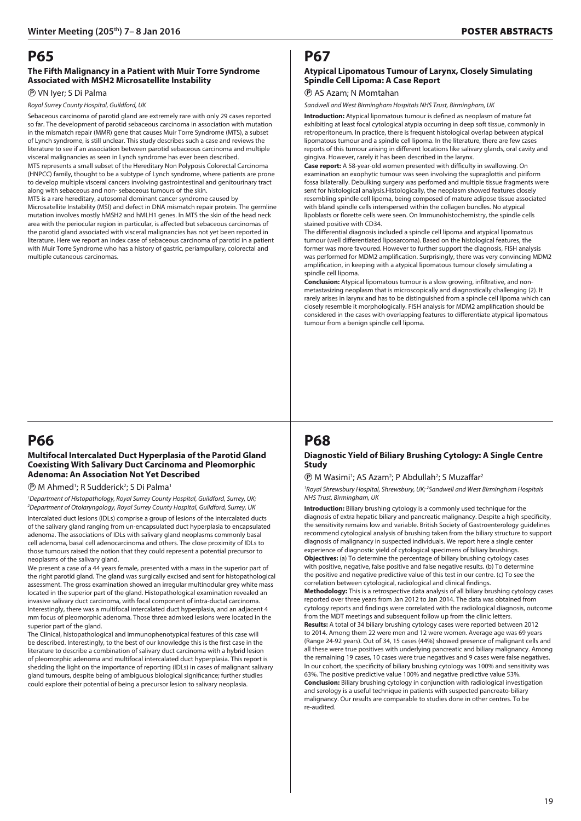### **The Fifth Malignancy in a Patient with Muir Torre Syndrome Associated with MSH2 Microsatellite Instability**

P VN Iyer; S Di Palma

*Royal Surrey County Hospital, Guildford, UK*

Sebaceous carcinoma of parotid gland are extremely rare with only 29 cases reported so far. The development of parotid sebaceous carcinoma in association with mutation in the mismatch repair (MMR) gene that causes Muir Torre Syndrome (MTS), a subset of Lynch syndrome, is still unclear. This study describes such a case and reviews the literature to see if an association between parotid sebaceous carcinoma and multiple visceral malignancies as seen in Lynch syndrome has ever been described. MTS represents a small subset of the Hereditary Non Polyposis Colorectal Carcinoma (HNPCC) family, thought to be a subtype of Lynch syndrome, where patients are prone to develop multiple visceral cancers involving gastrointestinal and genitourinary tract along with sebaceous and non- sebaceous tumours of the skin.

MTS is a rare hereditary, autosomal dominant cancer syndrome caused by Microsatellite Instability (MSI) and defect in DNA mismatch repair protein. The germline mutation involves mostly hMSH2 and hMLH1 genes. In MTS the skin of the head neck area with the periocular region in particular, is affected but sebaceous carcinomas of the parotid gland associated with visceral malignancies has not yet been reported in literature. Here we report an index case of sebaceous carcinoma of parotid in a patient with Muir Torre Syndrome who has a history of gastric, periampullary, colorectal and multiple cutaneous carcinomas.

# **P66**

### **Multifocal Intercalated Duct Hyperplasia of the Parotid Gland Coexisting With Salivary Duct Carcinoma and Pleomorphic Adenoma: An Association Not Yet Described**

### **(B)** M Ahmed<sup>1</sup>; R Sudderick<sup>2</sup>; S Di Palma<sup>1</sup>

<sup>1</sup>Department of Histopathology, Royal Surrey County Hospital, Guildford, Surrey, UK; *2 Department of Otolaryngology, Royal Surrey County Hospital, Guildford, Surrey, UK*

Intercalated duct lesions (IDLs) comprise a group of lesions of the intercalated ducts of the salivary gland ranging from un-encapsulated duct hyperplasia to encapsulated adenoma. The associations of IDLs with salivary gland neoplasms commonly basal cell adenoma, basal cell adenocarcinoma and others. The close proximity of IDLs to those tumours raised the notion that they could represent a potential precursor to neoplasms of the salivary gland.

We present a case of a 44 years female, presented with a mass in the superior part of the right parotid gland. The gland was surgically excised and sent for histopathological assessment. The gross examination showed an irregular multinodular grey white mass located in the superior part of the gland. Histopathological examination revealed an invasive salivary duct carcinoma, with focal component of intra-ductal carcinoma. Interestingly, there was a multifocal intercalated duct hyperplasia, and an adjacent 4 mm focus of pleomorphic adenoma. Those three admixed lesions were located in the superior part of the gland.

The Clinical, histopathological and immunophenotypical features of this case will be described. Interestingly, to the best of our knowledge this is the first case in the literature to describe a combination of salivary duct carcinoma with a hybrid lesion of pleomorphic adenoma and multifocal intercalated duct hyperplasia. This report is shedding the light on the importance of reporting (IDLs) in cases of malignant salivary gland tumours, despite being of ambiguous biological significance; further studies could explore their potential of being a precursor lesion to salivary neoplasia.

# **P67**

## **Atypical Lipomatous Tumour of Larynx, Closely Simulating Spindle Cell Lipoma: A Case Report**

P AS Azam; N Momtahan

*Sandwell and West Birmingham Hospitals NHS Trust, Birmingham, UK*

**Introduction:** Atypical lipomatous tumour is defined as neoplasm of mature fat exhibiting at least focal cytological atypia occurring in deep soft tissue, commonly in retroperitoneum. In practice, there is frequent histological overlap between atypical lipomatous tumour and a spindle cell lipoma. In the literature, there are few cases reports of this tumour arising in different locations like salivary glands, oral cavity and gingiva. However, rarely it has been described in the larynx.

**Case report:** A 58-year-old women presented with difficulty in swallowing. On examination an exophytic tumour was seen involving the supraglottis and piriform fossa bilaterally. Debulking surgery was perfomed and multiple tissue fragments were sent for histological analysis.Histologically, the neoplasm showed features closely resembling spindle cell lipoma, being composed of mature adipose tissue associated with bland spindle cells interspersed within the collagen bundles. No atypical lipoblasts or florette cells were seen. On Immunohistochemistry, the spindle cells stained positive with CD34.

The differential diagnosis included a spindle cell lipoma and atypical lipomatous tumour (well differentiated liposarcoma). Based on the histological features, the former was more favoured. However to further support the diagnosis, FISH analysis was performed for MDM2 amplification. Surprisingly, there was very convincing MDM2 amplification, in keeping with a atypical lipomatous tumour closely simulating a spindle cell lipoma.

**Conclusion:** Atypical lipomatous tumour is a slow growing, infiltrative, and nonmetastasizing neoplasm that is microscopically and diagnostically challenging (2). It rarely arises in larynx and has to be distinguished from a spindle cell lipoma which can closely resemble it morphologically. FISH analysis for MDM2 amplification should be considered in the cases with overlapping features to differentiate atypical lipomatous tumour from a benign spindle cell lipoma.

# **P68**

### **Diagnostic Yield of Biliary Brushing Cytology: A Single Centre Study**

**(B)** M Wasimi<sup>1</sup>; AS Azam<sup>2</sup>; P Abdullah<sup>2</sup>; S Muzaffar<sup>2</sup>

<sup>1</sup> Royal Shrewsbury Hospital, Shrewsbury, UK; <sup>2</sup> Sandwell and West Birmingham Hospitals *NHS Trust, Birmingham, UK*

**Introduction:** Biliary brushing cytology is a commonly used technique for the diagnosis of extra hepatic biliary and pancreatic malignancy. Despite a high specificity, the sensitivity remains low and variable. British Society of Gastroenterology guidelines recommend cytological analysis of brushing taken from the biliary structure to support diagnosis of malignancy in suspected individuals. We report here a single center experience of diagnostic yield of cytological specimens of biliary brushings. **Objectives:** (a) To determine the percentage of biliary brushing cytology cases

with positive, negative, false positive and false negative results. (b) To determine the positive and negative predictive value of this test in our centre. (c) To see the correlation between cytological, radiological and clinical findings. **Methodology:** This is a retrospective data analysis of all biliary brushing cytology cases

reported over three years from Jan 2012 to Jan 2014. The data was obtained from cytology reports and findings were correlated with the radiological diagnosis, outcome from the MDT meetings and subsequent follow up from the clinic letters. **Results:** A total of 34 biliary brushing cytology cases were reported between 2012 to 2014. Among them 22 were men and 12 were women. Average age was 69 years (Range 24-92 years). Out of 34, 15 cases (44%) showed presence of malignant cells and all these were true positives with underlying pancreatic and biliary malignancy. Among the remaining 19 cases, 10 cases were true negatives and 9 cases were false negatives. In our cohort, the specificity of biliary brushing cytology was 100% and sensitivity was 63%. The positive predictive value 100% and negative predictive value 53%. **Conclusion:** Biliary brushing cytology in conjunction with radiological investigation and serology is a useful technique in patients with suspected pancreato-biliary malignancy. Our results are comparable to studies done in other centres. To be re-audited.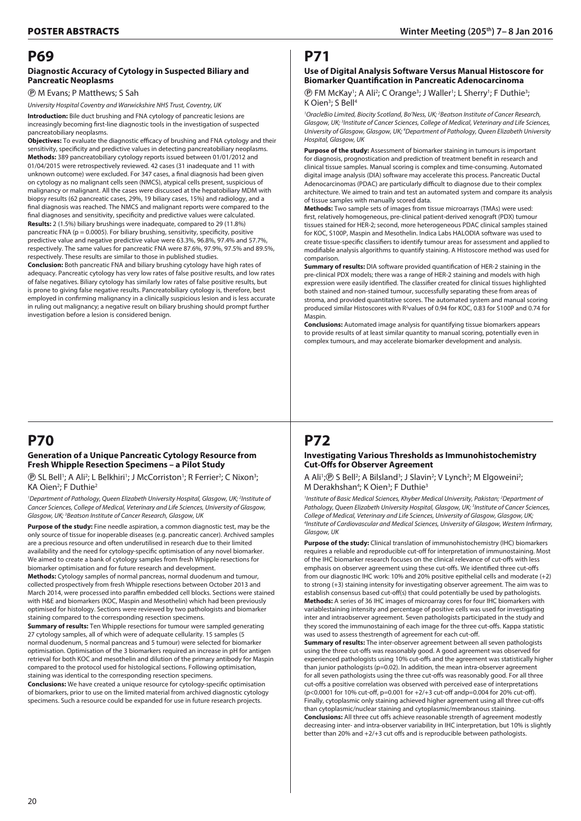### **Diagnostic Accuracy of Cytology in Suspected Biliary and Pancreatic Neoplasms**

P M Evans; P Matthews; S Sah

*University Hospital Coventry and Warwickshire NHS Trust, Coventry, UK*

**Introduction:** Bile duct brushing and FNA cytology of pancreatic lesions are increasingly becoming first-line diagnostic tools in the investigation of suspected pancreatobiliary neoplasms.

**Objectives:** To evaluate the diagnostic efficacy of brushing and FNA cytology and their sensitivity, specificity and predictive values in detecting pancreatobiliary neoplasms. **Methods:** 389 pancreatobiliary cytology reports issued between 01/01/2012 and 01/04/2015 were retrospectively reviewed. 42 cases (31 inadequate and 11 with unknown outcome) were excluded. For 347 cases, a final diagnosis had been given on cytology as no malignant cells seen (NMCS), atypical cells present, suspicious of malignancy or malignant. All the cases were discussed at the hepatobiliary MDM with biopsy results (62 pancreatic cases, 29%, 19 biliary cases, 15%) and radiology, and a final diagnosis was reached. The NMCS and malignant reports were compared to the final diagnoses and sensitivity, specificity and predictive values were calculated. **Results:** 2 (1.5%) biliary brushings were inadequate, compared to 29 (11.8%) pancreatic FNA (p = 0.0005). For biliary brushing, sensitivity, specificity, positive predictive value and negative predictive value were 63.3%, 96.8%, 97.4% and 57.7%, respectively. The same values for pancreatic FNA were 87.6%, 97.9%, 97.5% and 89.5%, respectively. These results are similar to those in published studies. **Conclusion:** Both pancreatic FNA and biliary brushing cytology have high rates of adequacy. Pancreatic cytology has very low rates of false positive results, and low rates of false negatives. Biliary cytology has similarly low rates of false positive results, but

is prone to giving false negative results. Pancreatobiliary cytology is, therefore, best employed in confirming malignancy in a clinically suspicious lesion and is less accurate in ruling out malignancy; a negative result on biliary brushing should prompt further investigation before a lesion is considered benign.

# **P70**

### **Generation of a Unique Pancreatic Cytology Resource from Fresh Whipple Resection Specimens – a Pilot Study**

**@ SL Bell<sup>1</sup>; A Ali<sup>2</sup>; L Belkhiri<sup>1</sup>; J McCorriston<sup>1</sup>; R Ferrier<sup>2</sup>; C Nixon<sup>3</sup>;** KA Oien<sup>2</sup>; F Duthie<sup>2</sup>

<sup>1</sup>Department of Pathology, Queen Elizabeth University Hospital, Glasgow, UK; <sup>2</sup>Institute of *Cancer Sciences, College of Medical, Veterinary and Life Sciences, University of Glasgow, Glasgow, UK; 3 Beatson Institute of Cancer Research, Glasgow, UK*

**Purpose of the study:** Fine needle aspiration, a common diagnostic test, may be the only source of tissue for inoperable diseases (e.g. pancreatic cancer). Archived samples are a precious resource and often underutilised in research due to their limited availability and the need for cytology-specific optimisation of any novel biomarker. We aimed to create a bank of cytology samples from fresh Whipple resections for biomarker optimisation and for future research and development.

**Methods:** Cytology samples of normal pancreas, normal duodenum and tumour, collected prospectively from fresh Whipple resections between October 2013 and March 2014, were processed into paraffin embedded cell blocks. Sections were stained with H&E and biomarkers (KOC, Maspin and Mesothelin) which had been previously optimised for histology. Sections were reviewed by two pathologists and biomarker staining compared to the corresponding resection specimens.

**Summary of results:** Ten Whipple resections for tumour were sampled generating 27 cytology samples, all of which were of adequate cellularity. 15 samples (5 normal duodenum, 5 normal pancreas and 5 tumour) were selected for biomarker optimisation. Optimisation of the 3 biomarkers required an increase in pH for antigen retrieval for both KOC and mesothelin and dilution of the primary antibody for Maspin compared to the protocol used for histological sections. Following optimisation, staining was identical to the corresponding resection specimens.

**Conclusions:** We have created a unique resource for cytology-specific optimisation of biomarkers, prior to use on the limited material from archived diagnostic cytology specimens. Such a resource could be expanded for use in future research projects.

# **P71**

# **Use of Digital Analysis Software Versus Manual Histoscore for Biomarker Quantification in Pancreatic Adenocarcinoma**

**(B)** FM McKay<sup>1</sup>; A Ali<sup>2</sup>; C Orange<sup>3</sup>; J Waller<sup>1</sup>; L Sherry<sup>1</sup>; F Duthie<sup>3</sup>; K Oien<sup>3</sup>; S Bell<sup>4</sup>

*1 OracleBio Limited, Biocity Scotland, Bo'Ness, UK; 2 Beatson Institute of Cancer Research, Glasgow, UK; 3 Institute of Cancer Sciences, College of Medical, Veterinary and Life Sciences, University of Glasgow, Glasgow, UK; 4 Department of Pathology, Queen Elizabeth University Hospital, Glasgow, UK*

Purpose of the study: Assessment of biomarker staining in tumours is important for diagnosis, prognostication and prediction of treatment benefit in research and clinical tissue samples. Manual scoring is complex and time-consuming. Automated digital image analysis (DIA) software may accelerate this process. Pancreatic Ductal Adenocarcinomas (PDAC) are particularly difficult to diagnose due to their complex architecture. We aimed to train and test an automated system and compare its analysis of tissue samples with manually scored data.

**Methods:** Two sample sets of images from tissue microarrays (TMAs) were used: first, relatively homogeneous, pre-clinical patient-derived xenograft (PDX) tumour tissues stained for HER-2; second, more heterogeneous PDAC clinical samples stained for KOC, S100P, Maspin and Mesothelin. Indica Labs HALODIA software was used to create tissue-specific classifiers to identify tumour areas for assessment and applied to modifiable analysis algorithms to quantify staining. A Histoscore method was used for comparison.

**Summary of results:** DIA software provided quantification of HER-2 staining in the pre-clinical PDX models; there was a range of HER-2 staining and models with high expression were easily identified. The classifier created for clinical tissues highlighted both stained and non-stained tumour, successfully separating these from areas of stroma, and provided quantitative scores. The automated system and manual scoring produced similar Histoscores with R<sup>2</sup>values of 0.94 for KOC, 0.83 for S100P and 0.74 for Maspin.

**Conclusions:** Automated image analysis for quantifying tissue biomarkers appears to provide results of at least similar quantity to manual scoring, potentially even in complex tumours, and may accelerate biomarker development and analysis.

# **P72**

### **Investigating Various Thresholds as Immunohistochemistry Cut-Offs for Observer Agreement**

A Ali<sup>1</sup>; ® S Bell<sup>2</sup>; A Bilsland<sup>3</sup>; J Slavin<sup>2</sup>; V Lynch<sup>2</sup>; M Elgoweini<sup>2</sup>; M Derakhshan<sup>4</sup>; K Oien<sup>3</sup>; F Duthie<sup>3</sup>

<sup>1</sup> Institute of Basic Medical Sciences, Khyber Medical University, Pakistan; <sup>2</sup> Department of *Pathology, Queen Elizabeth University Hospital, Glasgow, UK; 3 Institute of Cancer Sciences, College of Medical, Veterinary and Life Sciences, University of Glasgow, Glasgow, UK; 4 Institute of Cardiovascular and Medical Sciences, University of Glasgow, Western Infirmary, Glasgow, UK*

**Purpose of the study:** Clinical translation of immunohistochemistry (IHC) biomarkers requires a reliable and reproducible cut-off for interpretation of immunostaining. Most of the IHC biomarker research focuses on the clinical relevance of cut-offs with less emphasis on observer agreement using these cut-offs. We identified three cut-offs from our diagnostic IHC work: 10% and 20% positive epithelial cells and moderate (+2) to strong (+3) staining intensity for investigating observer agreement. The aim was to establish consensus based cut-off(s) that could potentially be used by pathologists. **Methods:** A series of 36 IHC images of microarray cores for four IHC biomarkers with variablestaining intensity and percentage of positive cells was used for investigating inter and intraobserver agreement. Seven pathologists participated in the study and they scored the immunostaining of each image for the three cut-offs. Kappa statistic was used to assess thestrength of agreement for each cut-off.

**Summary of results:** The inter-observer agreement between all seven pathologists using the three cut-offs was reasonably good. A good agreement was observed for experienced pathologists using 10% cut-offs and the agreement was statistically higher than junior pathologists (p=0.02). In addition, the mean intra-observer agreement for all seven pathologists using the three cut-offs was reasonably good. For all three cut-offs a positive correlation was observed with perceived ease of interpretations (p<0.0001 for 10% cut-off, p=0.001 for +2/+3 cut-off andp=0.004 for 20% cut-off). Finally, cytoplasmic only staining achieved higher agreement using all three cut-offs than cytoplasmic/nuclear staining and cytoplasmic/membranous staining. **Conclusions:** All three cut offs achieve reasonable strength of agreement modestly decreasing inter- and intra-observer variability in IHC interpretation, but 10% is slightly better than 20% and +2/+3 cut offs and is reproducible between pathologists.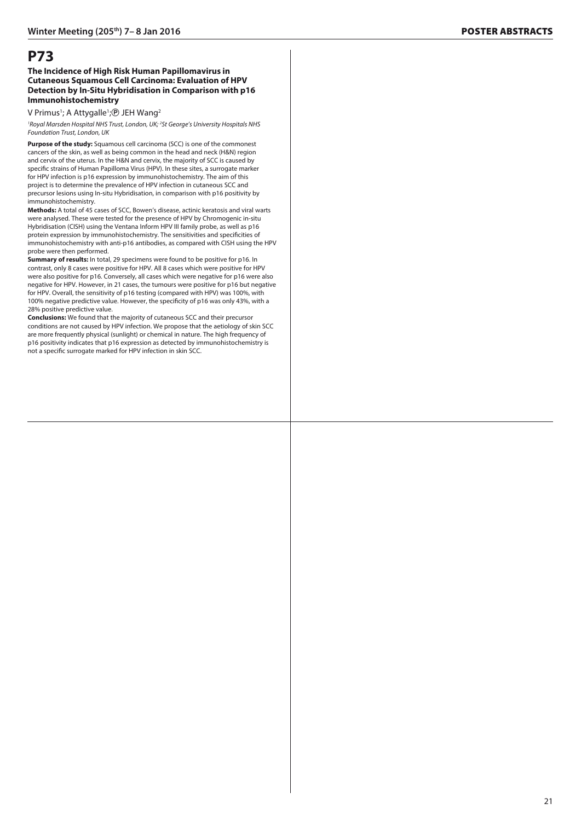### **The Incidence of High Risk Human Papillomavirus in Cutaneous Squamous Cell Carcinoma: Evaluation of HPV Detection by In-Situ Hybridisation in Comparison with p16 Immunohistochemistry**

### V Primus<sup>1</sup>; A Attygalle<sup>1</sup>;<sup>®</sup> JEH Wang<sup>2</sup>

<sup>1</sup> Royal Marsden Hospital NHS Trust, London, UK; <sup>2</sup>St George's University Hospitals NHS *Foundation Trust, London, UK*

**Purpose of the study:** Squamous cell carcinoma (SCC) is one of the commonest cancers of the skin, as well as being common in the head and neck (H&N) region and cervix of the uterus. In the H&N and cervix, the majority of SCC is caused by specific strains of Human Papilloma Virus (HPV). In these sites, a surrogate marker for HPV infection is p16 expression by immunohistochemistry. The aim of this project is to determine the prevalence of HPV infection in cutaneous SCC and precursor lesions using In-situ Hybridisation, in comparison with p16 positivity by immunohistochemistry.

**Methods:** A total of 45 cases of SCC, Bowen's disease, actinic keratosis and viral warts were analysed. These were tested for the presence of HPV by Chromogenic in-situ Hybridisation (CISH) using the Ventana Inform HPV III family probe, as well as p16 protein expression by immunohistochemistry. The sensitivities and specificities of immunohistochemistry with anti-p16 antibodies, as compared with CISH using the HPV probe were then performed.

**Summary of results:** In total, 29 specimens were found to be positive for p16. In contrast, only 8 cases were positive for HPV. All 8 cases which were positive for HPV were also positive for p16. Conversely, all cases which were negative for p16 were also negative for HPV. However, in 21 cases, the tumours were positive for p16 but negative for HPV. Overall, the sensitivity of p16 testing (compared with HPV) was 100%, with 100% negative predictive value. However, the specificity of p16 was only 43%, with a 28% positive predictive value.

**Conclusions:** We found that the majority of cutaneous SCC and their precursor conditions are not caused by HPV infection. We propose that the aetiology of skin SCC are more frequently physical (sunlight) or chemical in nature. The high frequency of p16 positivity indicates that p16 expression as detected by immunohistochemistry is not a specific surrogate marked for HPV infection in skin SCC.